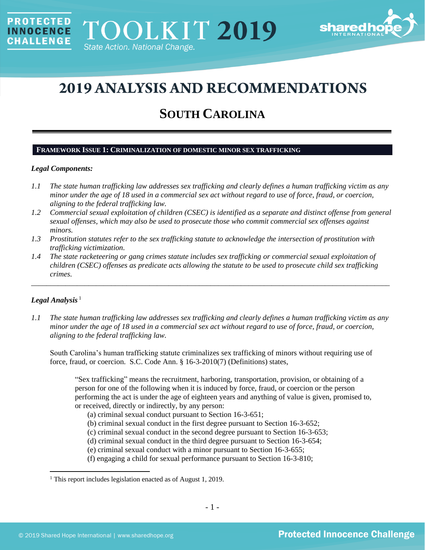

# **2019 ANALYSIS AND RECOMMENDATIONS**

## **SOUTH CAROLINA**

#### **FRAMEWORK ISSUE 1: CRIMINALIZATION OF DOMESTIC MINOR SEX TRAFFICKING**

#### *Legal Components:*

**PROTECTED** 

**INNOCENCE CHALLENGE** 

- *1.1 The state human trafficking law addresses sex trafficking and clearly defines a human trafficking victim as any minor under the age of 18 used in a commercial sex act without regard to use of force, fraud, or coercion, aligning to the federal trafficking law.*
- *1.2 Commercial sexual exploitation of children (CSEC) is identified as a separate and distinct offense from general sexual offenses, which may also be used to prosecute those who commit commercial sex offenses against minors.*
- *1.3 Prostitution statutes refer to the sex trafficking statute to acknowledge the intersection of prostitution with trafficking victimization.*
- *1.4 The state racketeering or gang crimes statute includes sex trafficking or commercial sexual exploitation of children (CSEC) offenses as predicate acts allowing the statute to be used to prosecute child sex trafficking crimes.*

\_\_\_\_\_\_\_\_\_\_\_\_\_\_\_\_\_\_\_\_\_\_\_\_\_\_\_\_\_\_\_\_\_\_\_\_\_\_\_\_\_\_\_\_\_\_\_\_\_\_\_\_\_\_\_\_\_\_\_\_\_\_\_\_\_\_\_\_\_\_\_\_\_\_\_\_\_\_\_\_\_\_\_\_\_\_\_\_\_\_\_\_\_\_

## Legal Analysis<sup>1</sup>

*1.1 The state human trafficking law addresses sex trafficking and clearly defines a human trafficking victim as any minor under the age of 18 used in a commercial sex act without regard to use of force, fraud, or coercion, aligning to the federal trafficking law.*

South Carolina's human trafficking statute criminalizes sex trafficking of minors without requiring use of force, fraud, or coercion. S.C. Code Ann. § 16-3-2010(7) (Definitions) states,

"Sex trafficking" means the recruitment, harboring, transportation, provision, or obtaining of a person for one of the following when it is induced by force, fraud, or coercion or the person performing the act is under the age of eighteen years and anything of value is given, promised to, or received, directly or indirectly, by any person:

- (a) criminal sexual conduct pursuant to Section 16-3-651;
- (b) criminal sexual conduct in the first degree pursuant to Section 16-3-652;
- (c) criminal sexual conduct in the second degree pursuant to Section 16-3-653;
- (d) criminal sexual conduct in the third degree pursuant to Section 16-3-654;
- (e) criminal sexual conduct with a minor pursuant to Section 16-3-655;
- (f) engaging a child for sexual performance pursuant to Section 16-3-810;

<sup>&</sup>lt;sup>1</sup> This report includes legislation enacted as of August 1, 2019.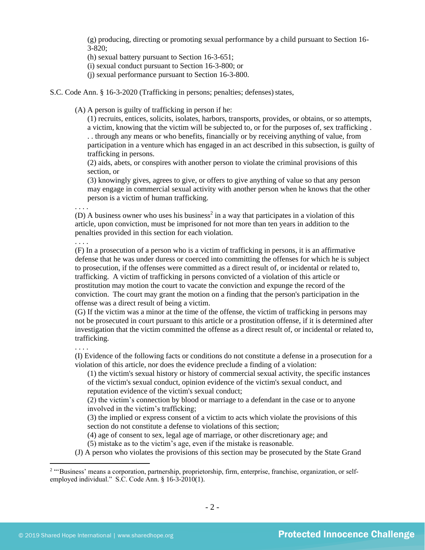(g) producing, directing or promoting sexual performance by a child pursuant to Section 16- 3-820;

(h) sexual battery pursuant to Section 16-3-651;

(i) sexual conduct pursuant to Section 16-3-800; or

(j) sexual performance pursuant to Section 16-3-800.

S.C. Code Ann. § 16-3-2020 (Trafficking in persons; penalties; defenses) states,

(A) A person is guilty of trafficking in person if he:

(1) recruits, entices, solicits, isolates, harbors, transports, provides, or obtains, or so attempts, a victim, knowing that the victim will be subjected to, or for the purposes of, sex trafficking . . . through any means or who benefits, financially or by receiving anything of value, from participation in a venture which has engaged in an act described in this subsection, is guilty of trafficking in persons.

(2) aids, abets, or conspires with another person to violate the criminal provisions of this section, or

(3) knowingly gives, agrees to give, or offers to give anything of value so that any person may engage in commercial sexual activity with another person when he knows that the other person is a victim of human trafficking.

. . . .

(D) A business owner who uses his business<sup>2</sup> in a way that participates in a violation of this article, upon conviction, must be imprisoned for not more than ten years in addition to the penalties provided in this section for each violation.

. . . .

(F) In a prosecution of a person who is a victim of trafficking in persons, it is an affirmative defense that he was under duress or coerced into committing the offenses for which he is subject to prosecution, if the offenses were committed as a direct result of, or incidental or related to, trafficking. A victim of trafficking in persons convicted of a violation of this article or prostitution may motion the court to vacate the conviction and expunge the record of the conviction. The court may grant the motion on a finding that the person's participation in the offense was a direct result of being a victim.

(G) If the victim was a minor at the time of the offense, the victim of trafficking in persons may not be prosecuted in court pursuant to this article or a prostitution offense, if it is determined after investigation that the victim committed the offense as a direct result of, or incidental or related to, trafficking.

. . . .

(I) Evidence of the following facts or conditions do not constitute a defense in a prosecution for a violation of this article, nor does the evidence preclude a finding of a violation:

(1) the victim's sexual history or history of commercial sexual activity, the specific instances of the victim's sexual conduct, opinion evidence of the victim's sexual conduct, and reputation evidence of the victim's sexual conduct;

(2) the victim's connection by blood or marriage to a defendant in the case or to anyone involved in the victim's trafficking;

(3) the implied or express consent of a victim to acts which violate the provisions of this section do not constitute a defense to violations of this section;

(4) age of consent to sex, legal age of marriage, or other discretionary age; and

(5) mistake as to the victim's age, even if the mistake is reasonable.

(J) A person who violates the provisions of this section may be prosecuted by the State Grand

<sup>&</sup>lt;sup>2</sup> "'Business' means a corporation, partnership, proprietorship, firm, enterprise, franchise, organization, or selfemployed individual." S.C. Code Ann. § 16-3-2010(1).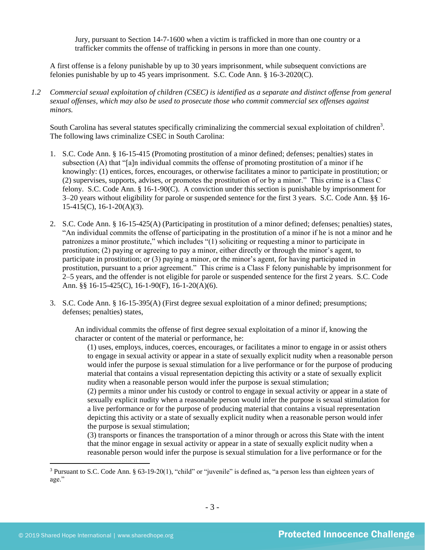Jury, pursuant to Section 14-7-1600 when a victim is trafficked in more than one country or a trafficker commits the offense of trafficking in persons in more than one county.

A first offense is a felony punishable by up to 30 years imprisonment, while subsequent convictions are felonies punishable by up to 45 years imprisonment. S.C. Code Ann. § 16-3-2020(C).

*1.2 Commercial sexual exploitation of children (CSEC) is identified as a separate and distinct offense from general sexual offenses, which may also be used to prosecute those who commit commercial sex offenses against minors.*

South Carolina has several statutes specifically criminalizing the commercial sexual exploitation of children<sup>3</sup>. The following laws criminalize CSEC in South Carolina:

- 1. S.C. Code Ann. § 16-15-415 (Promoting prostitution of a minor defined; defenses; penalties) states in subsection (A) that "[a]n individual commits the offense of promoting prostitution of a minor if he knowingly: (1) entices, forces, encourages, or otherwise facilitates a minor to participate in prostitution; or (2) supervises, supports, advises, or promotes the prostitution of or by a minor." This crime is a Class C felony. S.C. Code Ann. § 16-1-90(C). A conviction under this section is punishable by imprisonment for 3–20 years without eligibility for parole or suspended sentence for the first 3 years. S.C. Code Ann. §§ 16- 15-415(C), 16-1-20(A)(3).
- 2. S.C. Code Ann. § 16-15-425(A) (Participating in prostitution of a minor defined; defenses; penalties) states, "An individual commits the offense of participating in the prostitution of a minor if he is not a minor and he patronizes a minor prostitute," which includes "(1) soliciting or requesting a minor to participate in prostitution; (2) paying or agreeing to pay a minor, either directly or through the minor's agent, to participate in prostitution; or (3) paying a minor, or the minor's agent, for having participated in prostitution, pursuant to a prior agreement." This crime is a Class F felony punishable by imprisonment for 2–5 years, and the offender is not eligible for parole or suspended sentence for the first 2 years. S.C. Code Ann. §§ 16-15-425(C), 16-1-90(F), 16-1-20(A)(6).
- 3. S.C. Code Ann. § 16-15-395(A) (First degree sexual exploitation of a minor defined; presumptions; defenses; penalties) states,

An individual commits the offense of first degree sexual exploitation of a minor if, knowing the character or content of the material or performance, he:

(1) uses, employs, induces, coerces, encourages, or facilitates a minor to engage in or assist others to engage in sexual activity or appear in a state of sexually explicit nudity when a reasonable person would infer the purpose is sexual stimulation for a live performance or for the purpose of producing material that contains a visual representation depicting this activity or a state of sexually explicit nudity when a reasonable person would infer the purpose is sexual stimulation;

(2) permits a minor under his custody or control to engage in sexual activity or appear in a state of sexually explicit nudity when a reasonable person would infer the purpose is sexual stimulation for a live performance or for the purpose of producing material that contains a visual representation depicting this activity or a state of sexually explicit nudity when a reasonable person would infer the purpose is sexual stimulation;

(3) transports or finances the transportation of a minor through or across this State with the intent that the minor engage in sexual activity or appear in a state of sexually explicit nudity when a reasonable person would infer the purpose is sexual stimulation for a live performance or for the

<sup>3</sup> Pursuant to S.C. Code Ann. § 63-19-20(1), "child" or "juvenile" is defined as, "a person less than eighteen years of age."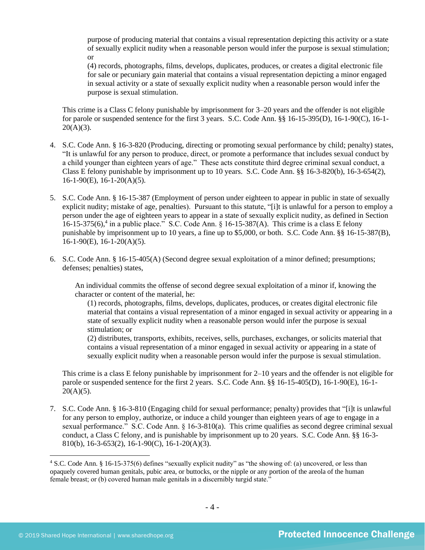purpose of producing material that contains a visual representation depicting this activity or a state of sexually explicit nudity when a reasonable person would infer the purpose is sexual stimulation; or

(4) records, photographs, films, develops, duplicates, produces, or creates a digital electronic file for sale or pecuniary gain material that contains a visual representation depicting a minor engaged in sexual activity or a state of sexually explicit nudity when a reasonable person would infer the purpose is sexual stimulation.

This crime is a Class C felony punishable by imprisonment for 3–20 years and the offender is not eligible for parole or suspended sentence for the first 3 years. S.C. Code Ann. §§ 16-15-395(D), 16-1-90(C), 16-1-  $20(A)(3)$ .

- 4. S.C. Code Ann. § 16-3-820 (Producing, directing or promoting sexual performance by child; penalty) states, "It is unlawful for any person to produce, direct, or promote a performance that includes sexual conduct by a child younger than eighteen years of age." These acts constitute third degree criminal sexual conduct, a Class E felony punishable by imprisonment up to 10 years. S.C. Code Ann. §§ 16-3-820(b), 16-3-654(2),  $16-1-90(E)$ ,  $16-1-20(A)(5)$ .
- 5. S.C. Code Ann. § 16-15-387 (Employment of person under eighteen to appear in public in state of sexually explicit nudity; mistake of age, penalties). Pursuant to this statute, "[i]t is unlawful for a person to employ a person under the age of eighteen years to appear in a state of sexually explicit nudity, as defined in Section 16-15-375(6),<sup>4</sup> in a public place." S.C. Code Ann. § 16-15-387(A). This crime is a class E felony punishable by imprisonment up to 10 years, a fine up to \$5,000, or both. S.C. Code Ann. §§ 16-15-387(B), 16-1-90(E), 16-1-20(A)(5).
- 6. S.C. Code Ann. § 16-15-405(A) (Second degree sexual exploitation of a minor defined; presumptions; defenses; penalties) states,

An individual commits the offense of second degree sexual exploitation of a minor if, knowing the character or content of the material, he:

(1) records, photographs, films, develops, duplicates, produces, or creates digital electronic file material that contains a visual representation of a minor engaged in sexual activity or appearing in a state of sexually explicit nudity when a reasonable person would infer the purpose is sexual stimulation; or

(2) distributes, transports, exhibits, receives, sells, purchases, exchanges, or solicits material that contains a visual representation of a minor engaged in sexual activity or appearing in a state of sexually explicit nudity when a reasonable person would infer the purpose is sexual stimulation.

This crime is a class E felony punishable by imprisonment for 2–10 years and the offender is not eligible for parole or suspended sentence for the first 2 years. S.C. Code Ann. §§ 16-15-405(D), 16-1-90(E), 16-1-  $20(A)(5)$ .

7. S.C. Code Ann. § 16-3-810 (Engaging child for sexual performance; penalty) provides that "[i]t is unlawful for any person to employ, authorize, or induce a child younger than eighteen years of age to engage in a sexual performance." S.C. Code Ann. § 16-3-810(a). This crime qualifies as second degree criminal sexual conduct, a Class C felony, and is punishable by imprisonment up to 20 years. S.C. Code Ann. §§ 16-3- 810(b), 16-3-653(2), 16-1-90(C), 16-1-20(A)(3).

<sup>4</sup> S.C. Code Ann. § 16-15-375(6) defines "sexually explicit nudity" as "the showing of: (a) uncovered, or less than opaquely covered human genitals, pubic area, or buttocks, or the nipple or any portion of the areola of the human female breast; or (b) covered human male genitals in a discernibly turgid state."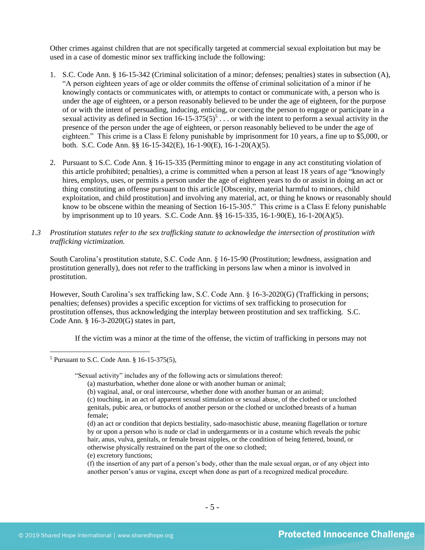Other crimes against children that are not specifically targeted at commercial sexual exploitation but may be used in a case of domestic minor sex trafficking include the following:

- 1. S.C. Code Ann. § 16-15-342 (Criminal solicitation of a minor; defenses; penalties) states in subsection (A), "A person eighteen years of age or older commits the offense of criminal solicitation of a minor if he knowingly contacts or communicates with, or attempts to contact or communicate with, a person who is under the age of eighteen, or a person reasonably believed to be under the age of eighteen, for the purpose of or with the intent of persuading, inducing, enticing, or coercing the person to engage or participate in a sexual activity as defined in Section  $16-15-375(5)^5$ ... or with the intent to perform a sexual activity in the presence of the person under the age of eighteen, or person reasonably believed to be under the age of eighteen." This crime is a Class E felony punishable by imprisonment for 10 years, a fine up to \$5,000, or both. S.C. Code Ann. §§ 16-15-342(E), 16-1-90(E), 16-1-20(A)(5).
- 2. Pursuant to S.C. Code Ann. § 16-15-335 (Permitting minor to engage in any act constituting violation of this article prohibited; penalties), a crime is committed when a person at least 18 years of age "knowingly hires, employs, uses, or permits a person under the age of eighteen years to do or assist in doing an act or thing constituting an offense pursuant to this article [Obscenity, material harmful to minors, child exploitation, and child prostitution] and involving any material, act, or thing he knows or reasonably should know to be obscene within the meaning of Section 16-15-305." This crime is a Class E felony punishable by imprisonment up to 10 years. S.C. Code Ann. §§ 16-15-335, 16-1-90(E), 16-1-20(A)(5).
- *1.3 Prostitution statutes refer to the sex trafficking statute to acknowledge the intersection of prostitution with trafficking victimization.*

South Carolina's prostitution statute, S.C. Code Ann. § 16-15-90 (Prostitution; lewdness, assignation and prostitution generally), does not refer to the trafficking in persons law when a minor is involved in prostitution.

However, South Carolina's sex trafficking law, S.C. Code Ann. § 16-3-2020(G) (Trafficking in persons; penalties; defenses) provides a specific exception for victims of sex trafficking to prosecution for prostitution offenses, thus acknowledging the interplay between prostitution and sex trafficking. S.C. Code Ann. § 16-3-2020(G) states in part,

If the victim was a minor at the time of the offense, the victim of trafficking in persons may not

- (d) an act or condition that depicts bestiality, sado-masochistic abuse, meaning flagellation or torture by or upon a person who is nude or clad in undergarments or in a costume which reveals the pubic hair, anus, vulva, genitals, or female breast nipples, or the condition of being fettered, bound, or otherwise physically restrained on the part of the one so clothed;
- (e) excretory functions;

<sup>5</sup> Pursuant to S.C. Code Ann. § 16-15-375(5),

<sup>&</sup>quot;Sexual activity" includes any of the following acts or simulations thereof:

<sup>(</sup>a) masturbation, whether done alone or with another human or animal;

<sup>(</sup>b) vaginal, anal, or oral intercourse, whether done with another human or an animal;

<sup>(</sup>c) touching, in an act of apparent sexual stimulation or sexual abuse, of the clothed or unclothed genitals, pubic area, or buttocks of another person or the clothed or unclothed breasts of a human female;

<sup>(</sup>f) the insertion of any part of a person's body, other than the male sexual organ, or of any object into another person's anus or vagina, except when done as part of a recognized medical procedure.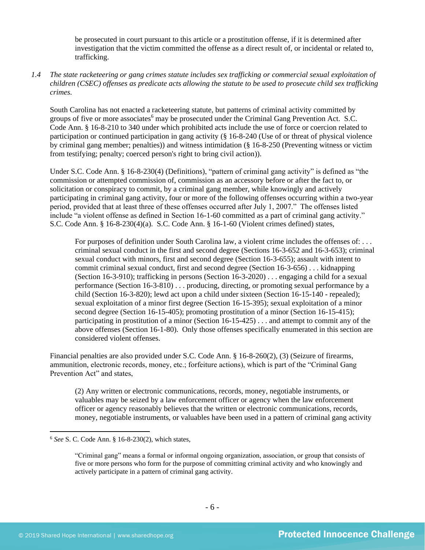be prosecuted in court pursuant to this article or a prostitution offense, if it is determined after investigation that the victim committed the offense as a direct result of, or incidental or related to, trafficking.

## *1.4 The state racketeering or gang crimes statute includes sex trafficking or commercial sexual exploitation of children (CSEC) offenses as predicate acts allowing the statute to be used to prosecute child sex trafficking crimes.*

South Carolina has not enacted a racketeering statute, but patterns of criminal activity committed by groups of five or more associates<sup>6</sup> may be prosecuted under the Criminal Gang Prevention Act. S.C. Code Ann. § 16-8-210 to 340 under which prohibited acts include the use of force or coercion related to participation or continued participation in gang activity (§ 16-8-240 (Use of or threat of physical violence by criminal gang member; penalties)) and witness intimidation (§ 16-8-250 (Preventing witness or victim from testifying; penalty; coerced person's right to bring civil action)).

Under S.C. Code Ann. § 16-8-230(4) (Definitions), "pattern of criminal gang activity" is defined as "the commission or attempted commission of, commission as an accessory before or after the fact to, or solicitation or conspiracy to commit, by a criminal gang member, while knowingly and actively participating in criminal gang activity, four or more of the following offenses occurring within a two-year period, provided that at least three of these offenses occurred after July 1, 2007." The offenses listed include "a violent offense as defined in Section 16-1-60 committed as a part of criminal gang activity." S.C. Code Ann. § 16-8-230(4)(a). S.C. Code Ann. § 16-1-60 (Violent crimes defined) states,

For purposes of definition under South Carolina law, a violent crime includes the offenses of: ... criminal sexual conduct in the first and second degree (Sections 16-3-652 and 16-3-653); criminal sexual conduct with minors, first and second degree (Section 16-3-655); assault with intent to commit criminal sexual conduct, first and second degree (Section 16-3-656) . . . kidnapping (Section 16-3-910); trafficking in persons (Section 16-3-2020) . . . engaging a child for a sexual performance (Section 16-3-810) . . . producing, directing, or promoting sexual performance by a child (Section 16-3-820); lewd act upon a child under sixteen (Section 16-15-140 - repealed); sexual exploitation of a minor first degree (Section 16-15-395); sexual exploitation of a minor second degree (Section 16-15-405); promoting prostitution of a minor (Section 16-15-415); participating in prostitution of a minor (Section 16-15-425) . . . and attempt to commit any of the above offenses (Section 16-1-80). Only those offenses specifically enumerated in this section are considered violent offenses.

Financial penalties are also provided under S.C. Code Ann. § 16-8-260(2), (3) (Seizure of firearms, ammunition, electronic records, money, etc.; forfeiture actions), which is part of the "Criminal Gang Prevention Act" and states,

(2) Any written or electronic communications, records, money, negotiable instruments, or valuables may be seized by a law enforcement officer or agency when the law enforcement officer or agency reasonably believes that the written or electronic communications, records, money, negotiable instruments, or valuables have been used in a pattern of criminal gang activity

<sup>6</sup> *See* S. C. Code Ann. § 16-8-230(2), which states,

<sup>&</sup>quot;Criminal gang" means a formal or informal ongoing organization, association, or group that consists of five or more persons who form for the purpose of committing criminal activity and who knowingly and actively participate in a pattern of criminal gang activity.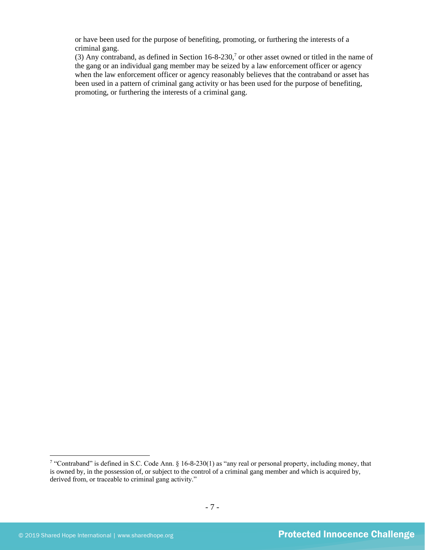or have been used for the purpose of benefiting, promoting, or furthering the interests of a criminal gang.

(3) Any contraband, as defined in Section  $16-8-230$ ,<sup>7</sup> or other asset owned or titled in the name of the gang or an individual gang member may be seized by a law enforcement officer or agency when the law enforcement officer or agency reasonably believes that the contraband or asset has been used in a pattern of criminal gang activity or has been used for the purpose of benefiting, promoting, or furthering the interests of a criminal gang.

<sup>7</sup> "Contraband" is defined in S.C. Code Ann. § 16-8-230(1) as "any real or personal property, including money, that is owned by, in the possession of, or subject to the control of a criminal gang member and which is acquired by, derived from, or traceable to criminal gang activity."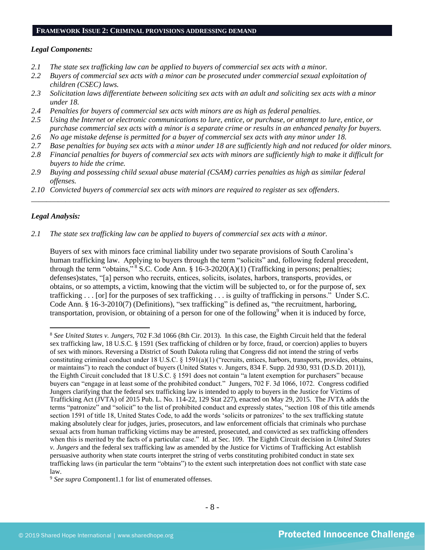#### **FRAMEWORK ISSUE 2: CRIMINAL PROVISIONS ADDRESSING DEMAND**

#### *Legal Components:*

- *2.1 The state sex trafficking law can be applied to buyers of commercial sex acts with a minor.*
- *2.2 Buyers of commercial sex acts with a minor can be prosecuted under commercial sexual exploitation of children (CSEC) laws.*
- *2.3 Solicitation laws differentiate between soliciting sex acts with an adult and soliciting sex acts with a minor under 18.*
- *2.4 Penalties for buyers of commercial sex acts with minors are as high as federal penalties.*
- *2.5 Using the Internet or electronic communications to lure, entice, or purchase, or attempt to lure, entice, or purchase commercial sex acts with a minor is a separate crime or results in an enhanced penalty for buyers.*
- *2.6 No age mistake defense is permitted for a buyer of commercial sex acts with any minor under 18.*
- *2.7 Base penalties for buying sex acts with a minor under 18 are sufficiently high and not reduced for older minors.*

\_\_\_\_\_\_\_\_\_\_\_\_\_\_\_\_\_\_\_\_\_\_\_\_\_\_\_\_\_\_\_\_\_\_\_\_\_\_\_\_\_\_\_\_\_\_\_\_\_\_\_\_\_\_\_\_\_\_\_\_\_\_\_\_\_\_\_\_\_\_\_\_\_\_\_\_\_\_\_\_\_\_\_\_\_\_\_\_\_\_\_\_\_\_

- *2.8 Financial penalties for buyers of commercial sex acts with minors are sufficiently high to make it difficult for buyers to hide the crime.*
- *2.9 Buying and possessing child sexual abuse material (CSAM) carries penalties as high as similar federal offenses.*
- *2.10 Convicted buyers of commercial sex acts with minors are required to register as sex offenders*.

## *Legal Analysis:*

*2.1 The state sex trafficking law can be applied to buyers of commercial sex acts with a minor.*

Buyers of sex with minors face criminal liability under two separate provisions of South Carolina's human trafficking law. Applying to buyers through the term "solicits" and, following federal precedent, through the term "obtains,"  $8$  S.C. Code Ann.  $8$  16-3-2020(A)(1) (Trafficking in persons; penalties; defenses)states, "[a] person who recruits, entices, solicits, isolates, harbors, transports, provides, or obtains, or so attempts, a victim, knowing that the victim will be subjected to, or for the purpose of, sex trafficking . . . [or] for the purposes of sex trafficking . . . is guilty of trafficking in persons." Under S.C. Code Ann. § 16-3-2010(7) (Definitions), "sex trafficking" is defined as, "the recruitment, harboring, transportation, provision, or obtaining of a person for one of the following $9$  when it is induced by force,

<sup>8</sup> *See United States v. Jungers*, 702 F.3d 1066 (8th Cir. 2013). In this case, the Eighth Circuit held that the federal sex trafficking law, 18 U.S.C. § 1591 (Sex trafficking of children or by force, fraud, or coercion) applies to buyers of sex with minors. Reversing a District of South Dakota ruling that Congress did not intend the string of verbs constituting criminal conduct under 18 U.S.C. § 1591(a)(1) ("recruits, entices, harbors, transports, provides, obtains, or maintains") to reach the conduct of buyers (United States v. Jungers, 834 F. Supp. 2d 930, 931 (D.S.D. 2011)), the Eighth Circuit concluded that 18 U.S.C. § 1591 does not contain "a latent exemption for purchasers" because buyers can "engage in at least some of the prohibited conduct." Jungers, 702 F. 3d 1066, 1072. Congress codified Jungers clarifying that the federal sex trafficking law is intended to apply to buyers in the Justice for Victims of Trafficking Act (JVTA) of 2015 Pub. L. No. 114-22, 129 Stat 227), enacted on May 29, 2015. The JVTA adds the terms "patronize" and "solicit" to the list of prohibited conduct and expressly states, "section 108 of this title amends section 1591 of title 18, United States Code, to add the words 'solicits or patronizes' to the sex trafficking statute making absolutely clear for judges, juries, prosecutors, and law enforcement officials that criminals who purchase sexual acts from human trafficking victims may be arrested, prosecuted, and convicted as sex trafficking offenders when this is merited by the facts of a particular case." Id. at Sec. 109. The Eighth Circuit decision in *United States v. Jungers* and the federal sex trafficking law as amended by the Justice for Victims of Trafficking Act establish persuasive authority when state courts interpret the string of verbs constituting prohibited conduct in state sex trafficking laws (in particular the term "obtains") to the extent such interpretation does not conflict with state case law.

<sup>9</sup> *See supra* Component1.1 for list of enumerated offenses.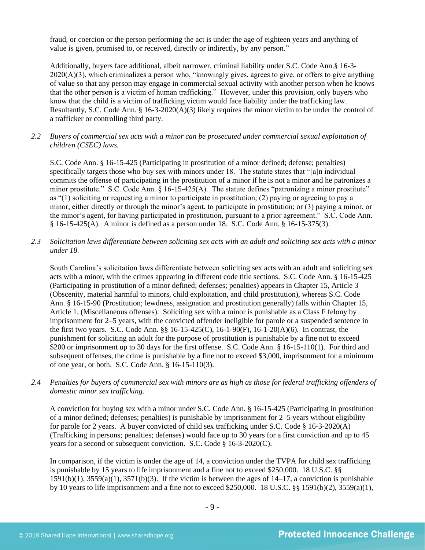fraud, or coercion or the person performing the act is under the age of eighteen years and anything of value is given, promised to, or received, directly or indirectly, by any person."

Additionally, buyers face additional, albeit narrower, criminal liability under S.C. Code Ann.§ 16-3-  $2020(A)(3)$ , which criminalizes a person who, "knowingly gives, agrees to give, or offers to give anything of value so that any person may engage in commercial sexual activity with another person when he knows that the other person is a victim of human trafficking." However, under this provision, only buyers who know that the child is a victim of trafficking victim would face liability under the trafficking law. Resultantly, S.C. Code Ann. § 16-3-2020(A)(3) likely requires the minor victim to be under the control of a trafficker or controlling third party.

*2.2 Buyers of commercial sex acts with a minor can be prosecuted under commercial sexual exploitation of children (CSEC) laws.*

S.C. Code Ann. § 16-15-425 (Participating in prostitution of a minor defined; defense; penalties) specifically targets those who buy sex with minors under 18. The statute states that "[a]n individual commits the offense of participating in the prostitution of a minor if he is not a minor and he patronizes a minor prostitute." S.C. Code Ann. § 16-15-425(A). The statute defines "patronizing a minor prostitute" as "(1) soliciting or requesting a minor to participate in prostitution; (2) paying or agreeing to pay a minor, either directly or through the minor's agent, to participate in prostitution; or (3) paying a minor, or the minor's agent, for having participated in prostitution, pursuant to a prior agreement." S.C. Code Ann. § 16-15-425(A). A minor is defined as a person under 18. S.C. Code Ann. § 16-15-375(3).

*2.3 Solicitation laws differentiate between soliciting sex acts with an adult and soliciting sex acts with a minor under 18.*

South Carolina's solicitation laws differentiate between soliciting sex acts with an adult and soliciting sex acts with a minor, with the crimes appearing in different code title sections. S.C. Code Ann. § 16-15-425 (Participating in prostitution of a minor defined; defenses; penalties) appears in Chapter 15, Article 3 (Obscenity, material harmful to minors, child exploitation, and child prostitution), whereas S.C. Code Ann. § 16-15-90 (Prostitution; lewdness, assignation and prostitution generally) falls within Chapter 15, Article 1, (Miscellaneous offenses). Soliciting sex with a minor is punishable as a Class F felony by imprisonment for 2–5 years, with the convicted offender ineligible for parole or a suspended sentence in the first two years. S.C. Code Ann. §§ 16-15-425(C), 16-1-90(F), 16-1-20(A)(6). In contrast, the punishment for soliciting an adult for the purpose of prostitution is punishable by a fine not to exceed \$200 or imprisonment up to 30 days for the first offense. S.C. Code Ann. § 16-15-110(1). For third and subsequent offenses, the crime is punishable by a fine not to exceed \$3,000, imprisonment for a minimum of one year, or both. S.C. Code Ann. § 16-15-110(3).

*2.4 Penalties for buyers of commercial sex with minors are as high as those for federal trafficking offenders of domestic minor sex trafficking.*

A conviction for buying sex with a minor under S.C. Code Ann. § 16-15-425 (Participating in prostitution of a minor defined; defenses; penalties) is punishable by imprisonment for 2–5 years without eligibility for parole for 2 years. A buyer convicted of child sex trafficking under S.C. Code § 16-3-2020(A) (Trafficking in persons; penalties; defenses) would face up to 30 years for a first conviction and up to 45 years for a second or subsequent conviction. S.C. Code § 16-3-2020(C).

In comparison, if the victim is under the age of 14, a conviction under the TVPA for child sex trafficking is punishable by 15 years to life imprisonment and a fine not to exceed \$250,000. 18 U.S.C. §§  $1591(b)(1)$ ,  $3559(a)(1)$ ,  $3571(b)(3)$ . If the victim is between the ages of  $14-17$ , a conviction is punishable by 10 years to life imprisonment and a fine not to exceed \$250,000. 18 U.S.C. §§ 1591(b)(2), 3559(a)(1),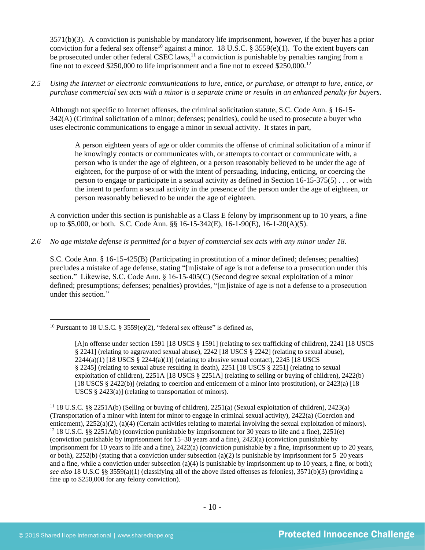<span id="page-9-0"></span>3571(b)(3). A conviction is punishable by mandatory life imprisonment, however, if the buyer has a prior conviction for a federal sex offense<sup>10</sup> against a minor. 18 U.S.C. § 3559(e)(1). To the extent buyers can be prosecuted under other federal CSEC laws,<sup>11</sup> a conviction is punishable by penalties ranging from a fine not to exceed \$250,000 to life imprisonment and a fine not to exceed \$250,000.<sup>12</sup>

*2.5 Using the Internet or electronic communications to lure, entice, or purchase, or attempt to lure, entice, or purchase commercial sex acts with a minor is a separate crime or results in an enhanced penalty for buyers.*

Although not specific to Internet offenses, the criminal solicitation statute, S.C. Code Ann. § 16-15- 342(A) (Criminal solicitation of a minor; defenses; penalties), could be used to prosecute a buyer who uses electronic communications to engage a minor in sexual activity. It states in part,

A person eighteen years of age or older commits the offense of criminal solicitation of a minor if he knowingly contacts or communicates with, or attempts to contact or communicate with, a person who is under the age of eighteen, or a person reasonably believed to be under the age of eighteen, for the purpose of or with the intent of persuading, inducing, enticing, or coercing the person to engage or participate in a sexual activity as defined in Section 16-15-375(5) . . . or with the intent to perform a sexual activity in the presence of the person under the age of eighteen, or person reasonably believed to be under the age of eighteen.

A conviction under this section is punishable as a Class E felony by imprisonment up to 10 years, a fine up to \$5,000, or both. S.C. Code Ann. §§ 16-15-342(E), 16-1-90(E), 16-1-20(A)(5).

*2.6 No age mistake defense is permitted for a buyer of commercial sex acts with any minor under 18.*

S.C. Code Ann. § 16-15-425(B) (Participating in prostitution of a minor defined; defenses; penalties) precludes a mistake of age defense, stating "[m]istake of age is not a defense to a prosecution under this section." Likewise, S.C. Code Ann. § 16-15-405(C) (Second degree sexual exploitation of a minor defined; presumptions; defenses; penalties) provides, "[m]istake of age is not a defense to a prosecution under this section."

<sup>&</sup>lt;sup>10</sup> Pursuant to 18 U.S.C. § 3559(e)(2), "federal sex offense" is defined as,

<sup>[</sup>A]n offense under section 1591 [18 USCS § 1591] (relating to sex trafficking of children), 2241 [18 USCS § 2241] (relating to aggravated sexual abuse), 2242 [18 USCS § 2242] (relating to sexual abuse),  $2244(a)(1)$  [18 USCS §  $2244(a)(1)$ ] (relating to abusive sexual contact), 2245 [18 USCS § 2245] (relating to sexual abuse resulting in death), 2251 [18 USCS § 2251] (relating to sexual exploitation of children), 2251A [18 USCS § 2251A] (relating to selling or buying of children), 2422(b) [18 USCS § 2422(b)] (relating to coercion and enticement of a minor into prostitution), or 2423(a) [18 USCS § 2423(a)] (relating to transportation of minors).

<sup>11</sup> 18 U.S.C. §§ 2251A(b) (Selling or buying of children), 2251(a) (Sexual exploitation of children), 2423(a) (Transportation of a minor with intent for minor to engage in criminal sexual activity), 2422(a) (Coercion and enticement), 2252(a)(2), (a)(4) (Certain activities relating to material involving the sexual exploitation of minors). <sup>12</sup> 18 U.S.C. §§ 2251A(b) (conviction punishable by imprisonment for 30 years to life and a fine), 2251(e) (conviction punishable by imprisonment for 15–30 years and a fine), 2423(a) (conviction punishable by imprisonment for 10 years to life and a fine), 2422(a) (conviction punishable by a fine, imprisonment up to 20 years, or both), 2252(b) (stating that a conviction under subsection (a)(2) is punishable by imprisonment for  $5-20$  years and a fine, while a conviction under subsection (a)(4) is punishable by imprisonment up to 10 years, a fine, or both); *see also* 18 U.S.C §§ 3559(a)(1) (classifying all of the above listed offenses as felonies), 3571(b)(3) (providing a fine up to \$250,000 for any felony conviction).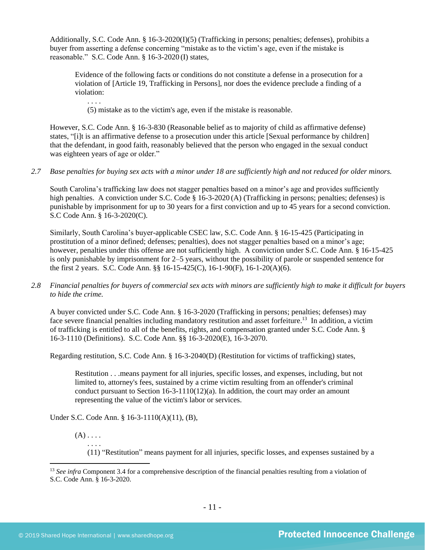Additionally, S.C. Code Ann. § 16-3-2020(I)(5) (Trafficking in persons; penalties; defenses), prohibits a buyer from asserting a defense concerning "mistake as to the victim's age, even if the mistake is reasonable." S.C. Code Ann. § 16-3-2020 (I) states,

Evidence of the following facts or conditions do not constitute a defense in a prosecution for a violation of [Article 19, Trafficking in Persons], nor does the evidence preclude a finding of a violation:

(5) mistake as to the victim's age, even if the mistake is reasonable.

However, S.C. Code Ann. § 16-3-830 (Reasonable belief as to majority of child as affirmative defense) states, "[i]t is an affirmative defense to a prosecution under this article [Sexual performance by children] that the defendant, in good faith, reasonably believed that the person who engaged in the sexual conduct was eighteen years of age or older."

*2.7 Base penalties for buying sex acts with a minor under 18 are sufficiently high and not reduced for older minors.*

South Carolina's trafficking law does not stagger penalties based on a minor's age and provides sufficiently high penalties. A conviction under S.C. Code § 16-3-2020 (A) (Trafficking in persons; penalties; defenses) is punishable by imprisonment for up to 30 years for a first conviction and up to 45 years for a second conviction. S.C Code Ann. § 16-3-2020(C).

Similarly, South Carolina's buyer-applicable CSEC law, S.C. Code Ann. § 16-15-425 (Participating in prostitution of a minor defined; defenses; penalties), does not stagger penalties based on a minor's age; however, penalties under this offense are not sufficiently high. A conviction under S.C. Code Ann. § 16-15-425 is only punishable by imprisonment for 2–5 years, without the possibility of parole or suspended sentence for the first 2 years. S.C. Code Ann. §§ 16-15-425(C), 16-1-90(F), 16-1-20(A)(6).

*2.8 Financial penalties for buyers of commercial sex acts with minors are sufficiently high to make it difficult for buyers to hide the crime.*

A buyer convicted under S.C. Code Ann. § 16-3-2020 (Trafficking in persons; penalties; defenses) may face severe financial penalties including mandatory restitution and asset forfeiture.<sup>13</sup> In addition, a victim of trafficking is entitled to all of the benefits, rights, and compensation granted under S.C. Code Ann. § 16-3-1110 (Definitions). S.C. Code Ann. §§ 16-3-2020(E), 16-3-2070.

Regarding restitution, S.C. Code Ann. § 16-3-2040(D) (Restitution for victims of trafficking) states,

Restitution . . .means payment for all injuries, specific losses, and expenses, including, but not limited to, attorney's fees, sustained by a crime victim resulting from an offender's criminal conduct pursuant to Section  $16-3-1110(12)(a)$ . In addition, the court may order an amount representing the value of the victim's labor or services.

Under S.C. Code Ann. § 16-3-1110(A)(11), (B),

 $(A) \ldots$ 

. . . .

. . . .

(11) "Restitution" means payment for all injuries, specific losses, and expenses sustained by a

<sup>&</sup>lt;sup>13</sup> *See infra* Component 3.4 for a comprehensive description of the financial penalties resulting from a violation of S.C. Code Ann. § 16-3-2020.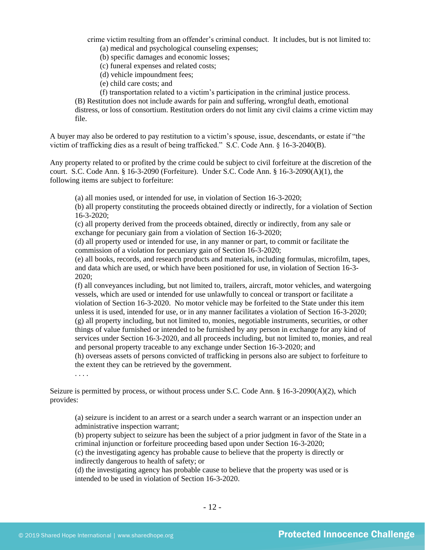crime victim resulting from an offender's criminal conduct. It includes, but is not limited to: (a) medical and psychological counseling expenses;

(b) specific damages and economic losses;

(c) funeral expenses and related costs;

- (d) vehicle impoundment fees;
- (e) child care costs; and

(f) transportation related to a victim's participation in the criminal justice process. (B) Restitution does not include awards for pain and suffering, wrongful death, emotional distress, or loss of consortium. Restitution orders do not limit any civil claims a crime victim may file.

A buyer may also be ordered to pay restitution to a victim's spouse, issue, descendants, or estate if "the victim of trafficking dies as a result of being trafficked." S.C. Code Ann. § 16-3-2040(B).

Any property related to or profited by the crime could be subject to civil forfeiture at the discretion of the court. S.C. Code Ann. § 16-3-2090 (Forfeiture). Under S.C. Code Ann. § 16-3-2090(A)(1), the following items are subject to forfeiture:

(a) all monies used, or intended for use, in violation of Section 16-3-2020;

(b) all property constituting the proceeds obtained directly or indirectly, for a violation of Section 16-3-2020;

(c) all property derived from the proceeds obtained, directly or indirectly, from any sale or exchange for pecuniary gain from a violation of Section 16-3-2020;

(d) all property used or intended for use, in any manner or part, to commit or facilitate the commission of a violation for pecuniary gain of Section 16-3-2020;

(e) all books, records, and research products and materials, including formulas, microfilm, tapes, and data which are used, or which have been positioned for use, in violation of Section 16-3- 2020;

(f) all conveyances including, but not limited to, trailers, aircraft, motor vehicles, and watergoing vessels, which are used or intended for use unlawfully to conceal or transport or facilitate a violation of Section 16-3-2020. No motor vehicle may be forfeited to the State under this item unless it is used, intended for use, or in any manner facilitates a violation of Section 16-3-2020; (g) all property including, but not limited to, monies, negotiable instruments, securities, or other things of value furnished or intended to be furnished by any person in exchange for any kind of services under Section 16-3-2020, and all proceeds including, but not limited to, monies, and real and personal property traceable to any exchange under Section 16-3-2020; and

(h) overseas assets of persons convicted of trafficking in persons also are subject to forfeiture to the extent they can be retrieved by the government.

. . . .

Seizure is permitted by process, or without process under S.C. Code Ann. § 16-3-2090(A)(2), which provides:

(a) seizure is incident to an arrest or a search under a search warrant or an inspection under an administrative inspection warrant;

(b) property subject to seizure has been the subject of a prior judgment in favor of the State in a criminal injunction or forfeiture proceeding based upon under Section 16-3-2020;

(c) the investigating agency has probable cause to believe that the property is directly or indirectly dangerous to health of safety; or

(d) the investigating agency has probable cause to believe that the property was used or is intended to be used in violation of Section 16-3-2020.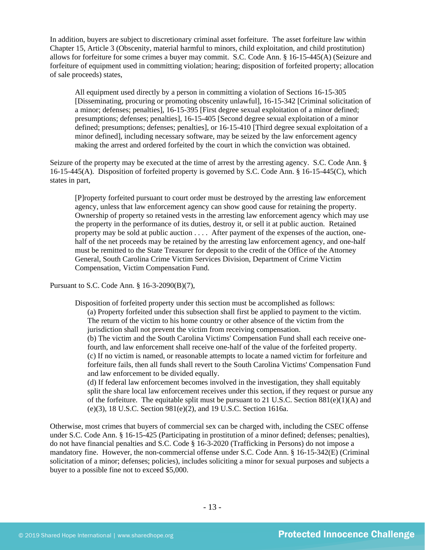In addition, buyers are subject to discretionary criminal asset forfeiture. The asset forfeiture law within Chapter 15, Article 3 (Obscenity, material harmful to minors, child exploitation, and child prostitution) allows for forfeiture for some crimes a buyer may commit. S.C. Code Ann. § 16-15-445(A) (Seizure and forfeiture of equipment used in committing violation; hearing; disposition of forfeited property; allocation of sale proceeds) states,

All equipment used directly by a person in committing a violation of Sections 16-15-305 [Disseminating, procuring or promoting obscenity unlawful], 16-15-342 [Criminal solicitation of a minor; defenses; penalties], 16-15-395 [First degree sexual exploitation of a minor defined; presumptions; defenses; penalties], 16-15-405 [Second degree sexual exploitation of a minor defined; presumptions; defenses; penalties], or 16-15-410 [Third degree sexual exploitation of a minor defined], including necessary software, may be seized by the law enforcement agency making the arrest and ordered forfeited by the court in which the conviction was obtained.

Seizure of the property may be executed at the time of arrest by the arresting agency. S.C. Code Ann. § 16-15-445(A). Disposition of forfeited property is governed by S.C. Code Ann. § 16-15-445(C), which states in part,

[P]roperty forfeited pursuant to court order must be destroyed by the arresting law enforcement agency, unless that law enforcement agency can show good cause for retaining the property. Ownership of property so retained vests in the arresting law enforcement agency which may use the property in the performance of its duties, destroy it, or sell it at public auction. Retained property may be sold at public auction . . . . After payment of the expenses of the auction, onehalf of the net proceeds may be retained by the arresting law enforcement agency, and one-half must be remitted to the State Treasurer for deposit to the credit of the Office of the Attorney General, South Carolina Crime Victim Services Division, Department of Crime Victim Compensation, Victim Compensation Fund.

Pursuant to S.C. Code Ann. § 16-3-2090(B)(7),

Disposition of forfeited property under this section must be accomplished as follows:

(a) Property forfeited under this subsection shall first be applied to payment to the victim. The return of the victim to his home country or other absence of the victim from the jurisdiction shall not prevent the victim from receiving compensation.

(b) The victim and the South Carolina Victims' Compensation Fund shall each receive onefourth, and law enforcement shall receive one-half of the value of the forfeited property. (c) If no victim is named, or reasonable attempts to locate a named victim for forfeiture and forfeiture fails, then all funds shall revert to the South Carolina Victims' Compensation Fund and law enforcement to be divided equally.

(d) If federal law enforcement becomes involved in the investigation, they shall equitably split the share local law enforcement receives under this section, if they request or pursue any of the forfeiture. The equitable split must be pursuant to 21 U.S.C. Section  $881(e)(1)(A)$  and (e)(3), 18 U.S.C. Section 981(e)(2), and 19 U.S.C. Section 1616a.

Otherwise, most crimes that buyers of commercial sex can be charged with, including the CSEC offense under S.C. Code Ann. § 16-15-425 (Participating in prostitution of a minor defined; defenses; penalties), do not have financial penalties and S.C. Code § 16-3-2020 (Trafficking in Persons) do not impose a mandatory fine. However, the non-commercial offense under S.C. Code Ann. § 16-15-342(E) (Criminal solicitation of a minor; defenses; policies), includes soliciting a minor for sexual purposes and subjects a buyer to a possible fine not to exceed \$5,000.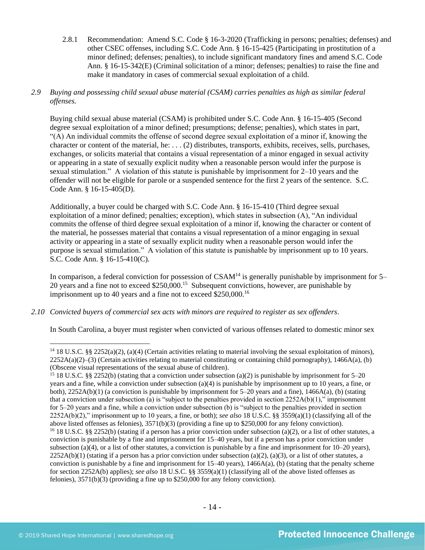- 2.8.1 Recommendation: Amend S.C. Code § 16-3-2020 (Trafficking in persons; penalties; defenses) and other CSEC offenses, including S.C. Code Ann. § 16-15-425 (Participating in prostitution of a minor defined; defenses; penalties), to include significant mandatory fines and amend S.C. Code Ann. § 16-15-342(E) (Criminal solicitation of a minor; defenses; penalties) to raise the fine and make it mandatory in cases of commercial sexual exploitation of a child.
- *2.9 Buying and possessing child sexual abuse material (CSAM) carries penalties as high as similar federal offenses.*

Buying child sexual abuse material (CSAM) is prohibited under S.C. Code Ann. § 16-15-405 (Second degree sexual exploitation of a minor defined; presumptions; defense; penalties), which states in part, "(A) An individual commits the offense of second degree sexual exploitation of a minor if, knowing the character or content of the material, he: . . . (2) distributes, transports, exhibits, receives, sells, purchases, exchanges, or solicits material that contains a visual representation of a minor engaged in sexual activity or appearing in a state of sexually explicit nudity when a reasonable person would infer the purpose is sexual stimulation." A violation of this statute is punishable by imprisonment for 2–10 years and the offender will not be eligible for parole or a suspended sentence for the first 2 years of the sentence. S.C. Code Ann. § 16-15-405(D).

Additionally, a buyer could be charged with S.C. Code Ann. § 16-15-410 (Third degree sexual exploitation of a minor defined; penalties; exception), which states in subsection (A), "An individual commits the offense of third degree sexual exploitation of a minor if, knowing the character or content of the material, he possesses material that contains a visual representation of a minor engaging in sexual activity or appearing in a state of sexually explicit nudity when a reasonable person would infer the purpose is sexual stimulation." A violation of this statute is punishable by imprisonment up to 10 years. S.C. Code Ann. § 16-15-410(C).

In comparison, a federal conviction for possession of  $CSAM<sup>14</sup>$  is generally punishable by imprisonment for 5– 20 years and a fine not to exceed \$250,000.<sup>15</sup> Subsequent convictions, however, are punishable by imprisonment up to 40 years and a fine not to exceed \$250,000.<sup>16</sup>

*2.10 Convicted buyers of commercial sex acts with minors are required to register as sex offenders*.

In South Carolina, a buyer must register when convicted of various offenses related to domestic minor sex

<sup>&</sup>lt;sup>14</sup> 18 U.S.C. §§ 2252(a)(2), (a)(4) (Certain activities relating to material involving the sexual exploitation of minors),  $2252A(a)(2)$ –(3) (Certain activities relating to material constituting or containing child pornography), 1466A(a), (b) (Obscene visual representations of the sexual abuse of children).

<sup>15</sup> 18 U.S.C. §§ 2252(b) (stating that a conviction under subsection (a)(2) is punishable by imprisonment for 5–20 years and a fine, while a conviction under subsection (a)(4) is punishable by imprisonment up to 10 years, a fine, or both), 2252A(b)(1) (a conviction is punishable by imprisonment for 5–20 years and a fine), 1466A(a), (b) (stating that a conviction under subsection (a) is "subject to the penalties provided in section  $2252A(b)(1)$ ," imprisonment for 5–20 years and a fine, while a conviction under subsection (b) is "subject to the penalties provided in section 2252A(b)(2)," imprisonment up to 10 years, a fine, or both); *see also* 18 U.S.C. §§ 3559(a)(1) (classifying all of the above listed offenses as felonies), 3571(b)(3) (providing a fine up to \$250,000 for any felony conviction). <sup>16</sup> 18 U.S.C. §§ 2252(b) (stating if a person has a prior conviction under subsection (a)(2), or a list of other statutes, a conviction is punishable by a fine and imprisonment for 15–40 years, but if a person has a prior conviction under subsection (a)(4), or a list of other statutes, a conviction is punishable by a fine and imprisonment for  $10-20$  years),  $2252A(b)(1)$  (stating if a person has a prior conviction under subsection (a)(2), (a)(3), or a list of other statutes, a conviction is punishable by a fine and imprisonment for  $15-40$  years),  $1466A(a)$ , (b) (stating that the penalty scheme for section 2252A(b) applies); *see also* 18 U.S.C. §§ 3559(a)(1) (classifying all of the above listed offenses as felonies), 3571(b)(3) (providing a fine up to \$250,000 for any felony conviction).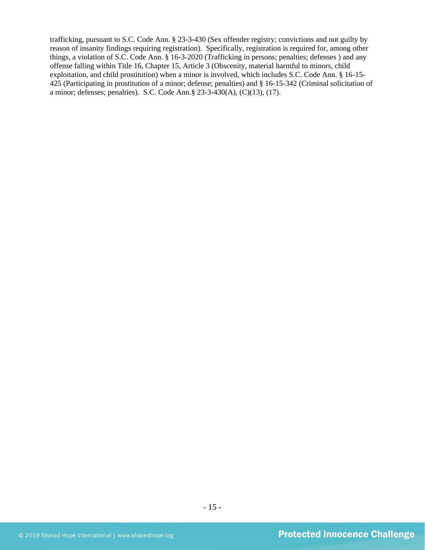trafficking, pursuant to S.C. Code Ann. § 23-3-430 (Sex offender registry; convictions and not guilty by reason of insanity findings requiring registration). Specifically, registration is required for, among other things, a violation of S.C. Code Ann. § 16-3-2020 (Trafficking in persons; penalties; defenses ) and any offense falling within Title 16, Chapter 15, Article 3 (Obscenity, material harmful to minors, child exploitation, and child prostitution) when a minor is involved, which includes S.C. Code Ann. § 16-15- 425 (Participating in prostitution of a minor; defense; penalties) and § 16-15-342 (Criminal solicitation of a minor; defenses; penalties). S.C. Code Ann.§ 23-3-430(A), (C)(13), (17).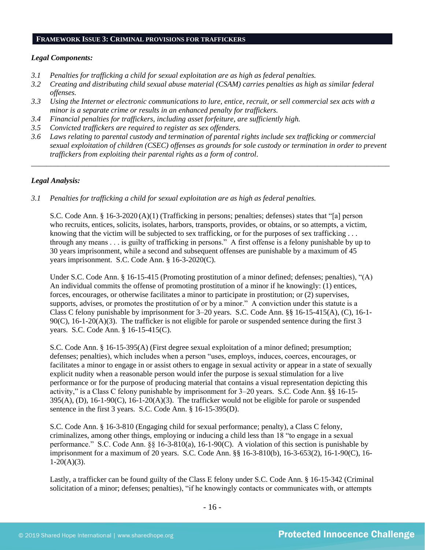#### **FRAMEWORK ISSUE 3: CRIMINAL PROVISIONS FOR TRAFFICKERS**

#### *Legal Components:*

- *3.1 Penalties for trafficking a child for sexual exploitation are as high as federal penalties.*
- *3.2 Creating and distributing child sexual abuse material (CSAM) carries penalties as high as similar federal offenses.*
- *3.3 Using the Internet or electronic communications to lure, entice, recruit, or sell commercial sex acts with a minor is a separate crime or results in an enhanced penalty for traffickers.*
- *3.4 Financial penalties for traffickers, including asset forfeiture, are sufficiently high.*
- *3.5 Convicted traffickers are required to register as sex offenders.*
- *3.6 Laws relating to parental custody and termination of parental rights include sex trafficking or commercial sexual exploitation of children (CSEC) offenses as grounds for sole custody or termination in order to prevent traffickers from exploiting their parental rights as a form of control.*

*\_\_\_\_\_\_\_\_\_\_\_\_\_\_\_\_\_\_\_\_\_\_\_\_\_\_\_\_\_\_\_\_\_\_\_\_\_\_\_\_\_\_\_\_\_\_\_\_\_\_\_\_\_\_\_\_\_\_\_\_\_\_\_\_\_\_\_\_\_\_\_\_\_\_\_\_\_\_\_\_\_\_\_\_\_\_\_\_\_\_\_\_\_\_*

#### *Legal Analysis:*

*3.1 Penalties for trafficking a child for sexual exploitation are as high as federal penalties.* 

S.C. Code Ann. § 16-3-2020 (A)(1) (Trafficking in persons; penalties; defenses) states that "[a] person who recruits, entices, solicits, isolates, harbors, transports, provides, or obtains, or so attempts, a victim, knowing that the victim will be subjected to sex trafficking, or for the purposes of sex trafficking . . . through any means . . . is guilty of trafficking in persons." A first offense is a felony punishable by up to 30 years imprisonment, while a second and subsequent offenses are punishable by a maximum of 45 years imprisonment. S.C. Code Ann. § 16-3-2020(C).

Under S.C. Code Ann. § 16-15-415 (Promoting prostitution of a minor defined; defenses; penalties), "(A) An individual commits the offense of promoting prostitution of a minor if he knowingly: (1) entices, forces, encourages, or otherwise facilitates a minor to participate in prostitution; or (2) supervises, supports, advises, or promotes the prostitution of or by a minor." A conviction under this statute is a Class C felony punishable by imprisonment for 3–20 years. S.C. Code Ann. §§ 16-15-415(A), (C), 16-1-  $90(C)$ , 16-1-20(A)(3). The trafficker is not eligible for parole or suspended sentence during the first 3 years. S.C. Code Ann. § 16-15-415(C).

S.C. Code Ann. § 16-15-395(A) (First degree sexual exploitation of a minor defined; presumption; defenses; penalties), which includes when a person "uses, employs, induces, coerces, encourages, or facilitates a minor to engage in or assist others to engage in sexual activity or appear in a state of sexually explicit nudity when a reasonable person would infer the purpose is sexual stimulation for a live performance or for the purpose of producing material that contains a visual representation depicting this activity," is a Class C felony punishable by imprisonment for 3–20 years. S.C. Code Ann. §§ 16-15- 395(A), (D), 16-1-90(C), 16-1-20(A)(3). The trafficker would not be eligible for parole or suspended sentence in the first 3 years. S.C. Code Ann. § 16-15-395(D).

S.C. Code Ann. § 16-3-810 (Engaging child for sexual performance; penalty), a Class C felony, criminalizes, among other things, employing or inducing a child less than 18 "to engage in a sexual performance." S.C. Code Ann. §§ 16-3-810(a), 16-1-90(C). A violation of this section is punishable by imprisonment for a maximum of 20 years. S.C. Code Ann. §§ 16-3-810(b), 16-3-653(2), 16-1-90(C), 16-  $1-20(A)(3)$ .

Lastly, a trafficker can be found guilty of the Class E felony under S.C. Code Ann. § 16-15-342 (Criminal solicitation of a minor; defenses; penalties), "if he knowingly contacts or communicates with, or attempts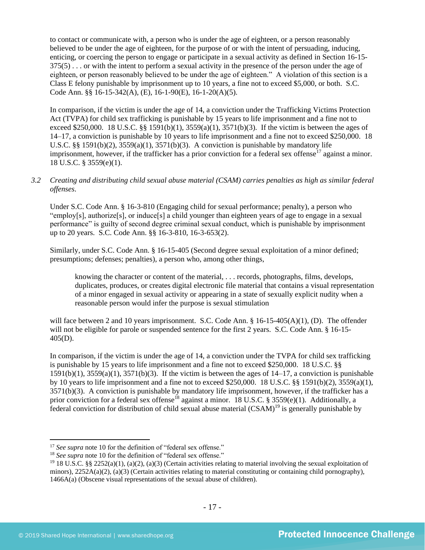to contact or communicate with, a person who is under the age of eighteen, or a person reasonably believed to be under the age of eighteen, for the purpose of or with the intent of persuading, inducing, enticing, or coercing the person to engage or participate in a sexual activity as defined in Section 16-15- 375(5) . . . or with the intent to perform a sexual activity in the presence of the person under the age of eighteen, or person reasonably believed to be under the age of eighteen." A violation of this section is a Class E felony punishable by imprisonment up to 10 years, a fine not to exceed \$5,000, or both. S.C. Code Ann. §§ 16-15-342(A), (E), 16-1-90(E), 16-1-20(A)(5).

In comparison, if the victim is under the age of 14, a conviction under the Trafficking Victims Protection Act (TVPA) for child sex trafficking is punishable by 15 years to life imprisonment and a fine not to exceed \$250,000. 18 U.S.C. §§ 1591(b)(1),  $3559(a)(1)$ ,  $3571(b)(3)$ . If the victim is between the ages of 14–17, a conviction is punishable by 10 years to life imprisonment and a fine not to exceed \$250,000. 18 U.S.C. §§ 1591(b)(2),  $3559(a)(1)$ ,  $3571(b)(3)$ . A conviction is punishable by mandatory life imprisonment, however, if the trafficker has a prior conviction for a federal sex offense<sup>17</sup> against a minor. 18 U.S.C. § 3559(e)(1).

## *3.2 Creating and distributing child sexual abuse material (CSAM) carries penalties as high as similar federal offenses*.

Under S.C. Code Ann. § 16-3-810 (Engaging child for sexual performance; penalty), a person who "employ[s], authorize[s], or induce[s] a child younger than eighteen years of age to engage in a sexual performance" is guilty of second degree criminal sexual conduct, which is punishable by imprisonment up to 20 years. S.C. Code Ann. §§ 16-3-810, 16-3-653(2).

Similarly, under S.C. Code Ann. § 16-15-405 (Second degree sexual exploitation of a minor defined; presumptions; defenses; penalties), a person who, among other things,

knowing the character or content of the material, . . . records, photographs, films, develops, duplicates, produces, or creates digital electronic file material that contains a visual representation of a minor engaged in sexual activity or appearing in a state of sexually explicit nudity when a reasonable person would infer the purpose is sexual stimulation

will face between 2 and 10 years imprisonment. S.C. Code Ann. § 16-15-405(A)(1), (D). The offender will not be eligible for parole or suspended sentence for the first 2 years. S.C. Code Ann. § 16-15-405(D).

In comparison, if the victim is under the age of 14, a conviction under the TVPA for child sex trafficking is punishable by 15 years to life imprisonment and a fine not to exceed \$250,000. 18 U.S.C. §§  $1591(b)(1)$ ,  $3559(a)(1)$ ,  $3571(b)(3)$ . If the victim is between the ages of  $14-17$ , a conviction is punishable by 10 years to life imprisonment and a fine not to exceed \$250,000. 18 U.S.C. §§ 1591(b)(2), 3559(a)(1), 3571(b)(3). A conviction is punishable by mandatory life imprisonment, however, if the trafficker has a prior conviction for a federal sex offense<sup>18</sup> against a minor. 18 U.S.C. § 3559(e)(1). Additionally, a federal conviction for distribution of child sexual abuse material  $(CSAM)^{19}$  is generally punishable by

<sup>&</sup>lt;sup>17</sup> See supra note [10](#page-9-0) for the definition of "federal sex offense."

<sup>&</sup>lt;sup>18</sup> *See supra* note [10](#page-9-0) for the definition of "federal sex offense."

<sup>&</sup>lt;sup>19</sup> 18 U.S.C. §§ 2252(a)(1), (a)(2), (a)(3) (Certain activities relating to material involving the sexual exploitation of minors),  $2252A(a)(2)$ , (a)(3) (Certain activities relating to material constituting or containing child pornography), 1466A(a) (Obscene visual representations of the sexual abuse of children).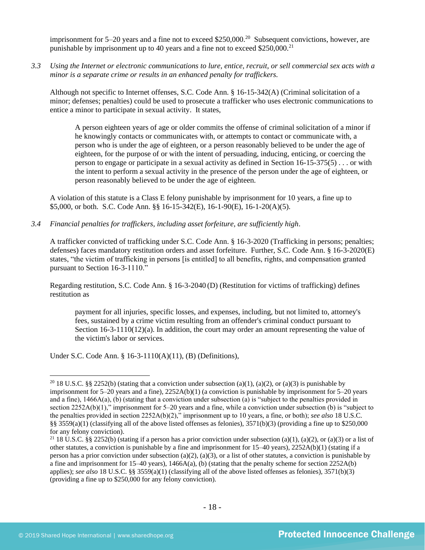imprisonment for  $5-20$  years and a fine not to exceed \$250,000.<sup>20</sup> Subsequent convictions, however, are punishable by imprisonment up to 40 years and a fine not to exceed  $$250,000$ <sup>21</sup>

*3.3 Using the Internet or electronic communications to lure, entice, recruit, or sell commercial sex acts with a minor is a separate crime or results in an enhanced penalty for traffickers.* 

Although not specific to Internet offenses, S.C. Code Ann. § 16-15-342(A) (Criminal solicitation of a minor; defenses; penalties) could be used to prosecute a trafficker who uses electronic communications to entice a minor to participate in sexual activity. It states,

A person eighteen years of age or older commits the offense of criminal solicitation of a minor if he knowingly contacts or communicates with, or attempts to contact or communicate with, a person who is under the age of eighteen, or a person reasonably believed to be under the age of eighteen, for the purpose of or with the intent of persuading, inducing, enticing, or coercing the person to engage or participate in a sexual activity as defined in Section 16-15-375(5) . . . or with the intent to perform a sexual activity in the presence of the person under the age of eighteen, or person reasonably believed to be under the age of eighteen.

A violation of this statute is a Class E felony punishable by imprisonment for 10 years, a fine up to \$5,000, or both. S.C. Code Ann. §§ 16-15-342(E), 16-1-90(E), 16-1-20(A)(5).

*3.4 Financial penalties for traffickers, including asset forfeiture, are sufficiently high*.

A trafficker convicted of trafficking under S.C. Code Ann. § 16-3-2020 (Trafficking in persons; penalties; defenses) faces mandatory restitution orders and asset forfeiture. Further, S.C. Code Ann. § 16-3-2020(E) states, "the victim of trafficking in persons [is entitled] to all benefits, rights, and compensation granted pursuant to Section 16-3-1110."

Regarding restitution, S.C. Code Ann. § 16-3-2040 (D) (Restitution for victims of trafficking) defines restitution as

payment for all injuries, specific losses, and expenses, including, but not limited to, attorney's fees, sustained by a crime victim resulting from an offender's criminal conduct pursuant to Section  $16-3-1110(12)(a)$ . In addition, the court may order an amount representing the value of the victim's labor or services.

Under S.C. Code Ann. § 16-3-1110(A)(11), (B) (Definitions),

<sup>&</sup>lt;sup>20</sup> 18 U.S.C. §§ 2252(b) (stating that a conviction under subsection (a)(1), (a)(2), or (a)(3) is punishable by imprisonment for 5–20 years and a fine), 2252A(b)(1) (a conviction is punishable by imprisonment for 5–20 years and a fine), 1466A(a), (b) (stating that a conviction under subsection (a) is "subject to the penalties provided in section 2252A(b)(1)," imprisonment for 5–20 years and a fine, while a conviction under subsection (b) is "subject to the penalties provided in section 2252A(b)(2)," imprisonment up to 10 years, a fine, or both); *see also* 18 U.S.C. §§ 3559(a)(1) (classifying all of the above listed offenses as felonies),  $3571(b)(3)$  (providing a fine up to \$250,000 for any felony conviction).

<sup>&</sup>lt;sup>21</sup> 18 U.S.C. §§ 2252(b) (stating if a person has a prior conviction under subsection (a)(1), (a)(2), or (a)(3) or a list of other statutes, a conviction is punishable by a fine and imprisonment for 15–40 years), 2252A(b)(1) (stating if a person has a prior conviction under subsection (a)(2), (a)(3), or a list of other statutes, a conviction is punishable by a fine and imprisonment for  $15-40$  years),  $1466A(a)$ , (b) (stating that the penalty scheme for section  $2252A(b)$ applies); *see also* 18 U.S.C. §§ 3559(a)(1) (classifying all of the above listed offenses as felonies), 3571(b)(3) (providing a fine up to \$250,000 for any felony conviction).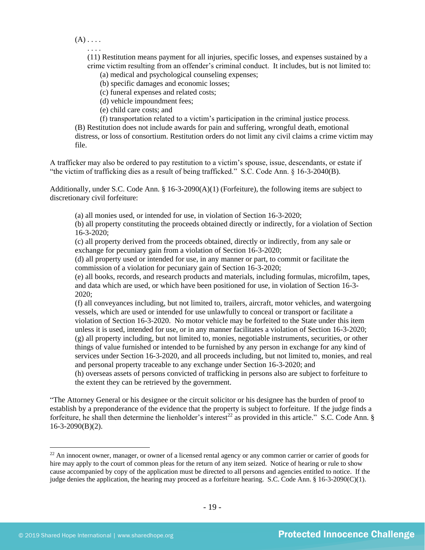$(A)$  . . . .

. . . .

(11) Restitution means payment for all injuries, specific losses, and expenses sustained by a crime victim resulting from an offender's criminal conduct. It includes, but is not limited to:

(a) medical and psychological counseling expenses;

(b) specific damages and economic losses;

(c) funeral expenses and related costs;

(d) vehicle impoundment fees;

(e) child care costs; and

(f) transportation related to a victim's participation in the criminal justice process. (B) Restitution does not include awards for pain and suffering, wrongful death, emotional distress, or loss of consortium. Restitution orders do not limit any civil claims a crime victim may file.

A trafficker may also be ordered to pay restitution to a victim's spouse, issue, descendants, or estate if "the victim of trafficking dies as a result of being trafficked." S.C. Code Ann. § 16-3-2040(B).

Additionally, under S.C. Code Ann. § 16-3-2090(A)(1) (Forfeiture), the following items are subject to discretionary civil forfeiture:

(a) all monies used, or intended for use, in violation of Section 16-3-2020;

(b) all property constituting the proceeds obtained directly or indirectly, for a violation of Section 16-3-2020;

(c) all property derived from the proceeds obtained, directly or indirectly, from any sale or exchange for pecuniary gain from a violation of Section 16-3-2020;

(d) all property used or intended for use, in any manner or part, to commit or facilitate the commission of a violation for pecuniary gain of Section 16-3-2020;

(e) all books, records, and research products and materials, including formulas, microfilm, tapes, and data which are used, or which have been positioned for use, in violation of Section 16-3- 2020;

(f) all conveyances including, but not limited to, trailers, aircraft, motor vehicles, and watergoing vessels, which are used or intended for use unlawfully to conceal or transport or facilitate a violation of Section 16-3-2020. No motor vehicle may be forfeited to the State under this item unless it is used, intended for use, or in any manner facilitates a violation of Section 16-3-2020; (g) all property including, but not limited to, monies, negotiable instruments, securities, or other things of value furnished or intended to be furnished by any person in exchange for any kind of services under Section 16-3-2020, and all proceeds including, but not limited to, monies, and real and personal property traceable to any exchange under Section 16-3-2020; and

(h) overseas assets of persons convicted of trafficking in persons also are subject to forfeiture to the extent they can be retrieved by the government.

"The Attorney General or his designee or the circuit solicitor or his designee has the burden of proof to establish by a preponderance of the evidence that the property is subject to forfeiture. If the judge finds a forfeiture, he shall then determine the lienholder's interest<sup>22</sup> as provided in this article." S.C. Code Ann. § 16-3-2090(B)(2).

<sup>&</sup>lt;sup>22</sup> An innocent owner, manager, or owner of a licensed rental agency or any common carrier or carrier of goods for hire may apply to the court of common pleas for the return of any item seized. Notice of hearing or rule to show cause accompanied by copy of the application must be directed to all persons and agencies entitled to notice. If the judge denies the application, the hearing may proceed as a forfeiture hearing. S.C. Code Ann. § 16-3-2090(C)(1).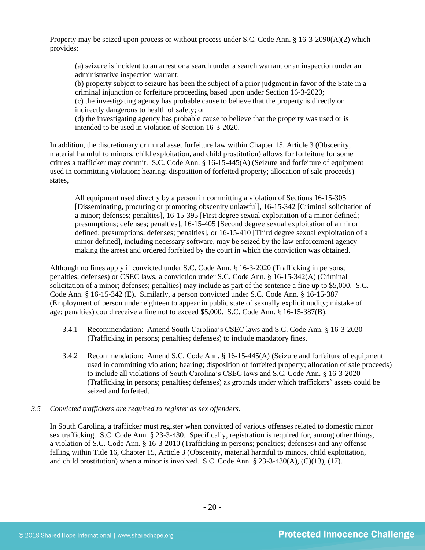Property may be seized upon process or without process under S.C. Code Ann. § 16-3-2090(A)(2) which provides:

(a) seizure is incident to an arrest or a search under a search warrant or an inspection under an administrative inspection warrant;

(b) property subject to seizure has been the subject of a prior judgment in favor of the State in a criminal injunction or forfeiture proceeding based upon under Section 16-3-2020; (c) the investigating agency has probable cause to believe that the property is directly or indirectly dangerous to health of safety; or

(d) the investigating agency has probable cause to believe that the property was used or is intended to be used in violation of Section 16-3-2020.

In addition, the discretionary criminal asset forfeiture law within Chapter 15, Article 3 (Obscenity, material harmful to minors, child exploitation, and child prostitution) allows for forfeiture for some crimes a trafficker may commit. S.C. Code Ann. § 16-15-445(A) (Seizure and forfeiture of equipment used in committing violation; hearing; disposition of forfeited property; allocation of sale proceeds) states,

All equipment used directly by a person in committing a violation of Sections 16-15-305 [Disseminating, procuring or promoting obscenity unlawful], 16-15-342 [Criminal solicitation of a minor; defenses; penalties], 16-15-395 [First degree sexual exploitation of a minor defined; presumptions; defenses; penalties], 16-15-405 [Second degree sexual exploitation of a minor defined; presumptions; defenses; penalties], or 16-15-410 [Third degree sexual exploitation of a minor defined], including necessary software, may be seized by the law enforcement agency making the arrest and ordered forfeited by the court in which the conviction was obtained.

Although no fines apply if convicted under S.C. Code Ann. § 16-3-2020 (Trafficking in persons; penalties; defenses) or CSEC laws, a conviction under S.C. Code Ann. § 16-15-342(A) (Criminal solicitation of a minor; defenses; penalties) may include as part of the sentence a fine up to \$5,000. S.C. Code Ann. § 16-15-342 (E). Similarly, a person convicted under S.C. Code Ann. § 16-15-387 (Employment of person under eighteen to appear in public state of sexually explicit nudity; mistake of age; penalties) could receive a fine not to exceed \$5,000. S.C. Code Ann. § 16-15-387(B).

- 3.4.1 Recommendation: Amend South Carolina's CSEC laws and S.C. Code Ann. § 16-3-2020 (Trafficking in persons; penalties; defenses) to include mandatory fines.
- 3.4.2 Recommendation: Amend S.C. Code Ann. § 16-15-445(A) (Seizure and forfeiture of equipment used in committing violation; hearing; disposition of forfeited property; allocation of sale proceeds) to include all violations of South Carolina's CSEC laws and S.C. Code Ann. § 16-3-2020 (Trafficking in persons; penalties; defenses) as grounds under which traffickers' assets could be seized and forfeited.

## *3.5 Convicted traffickers are required to register as sex offenders.*

In South Carolina, a trafficker must register when convicted of various offenses related to domestic minor sex trafficking. S.C. Code Ann. § 23-3-430. Specifically, registration is required for, among other things, a violation of S.C. Code Ann. § 16-3-2010 (Trafficking in persons; penalties; defenses) and any offense falling within Title 16, Chapter 15, Article 3 (Obscenity, material harmful to minors, child exploitation, and child prostitution) when a minor is involved. S.C. Code Ann. §  $23-3-430(A)$ , (C)(13), (17).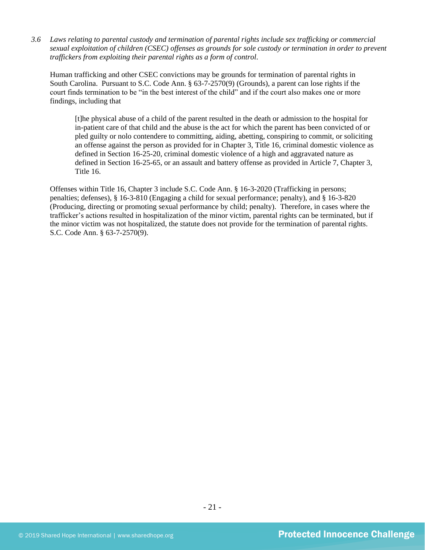*3.6 Laws relating to parental custody and termination of parental rights include sex trafficking or commercial sexual exploitation of children (CSEC) offenses as grounds for sole custody or termination in order to prevent traffickers from exploiting their parental rights as a form of control.* 

Human trafficking and other CSEC convictions may be grounds for termination of parental rights in South Carolina. Pursuant to S.C. Code Ann. § 63-7-2570(9) (Grounds), a parent can lose rights if the court finds termination to be "in the best interest of the child" and if the court also makes one or more findings, including that

[t]he physical abuse of a child of the parent resulted in the death or admission to the hospital for in-patient care of that child and the abuse is the act for which the parent has been convicted of or pled guilty or nolo contendere to committing, aiding, abetting, conspiring to commit, or soliciting an offense against the person as provided for in Chapter 3, Title 16, criminal domestic violence as defined in Section 16-25-20, criminal domestic violence of a high and aggravated nature as defined in Section 16-25-65, or an assault and battery offense as provided in Article 7, Chapter 3, Title 16.

Offenses within Title 16, Chapter 3 include S.C. Code Ann. § 16-3-2020 (Trafficking in persons; penalties; defenses), § 16-3-810 (Engaging a child for sexual performance; penalty), and § 16-3-820 (Producing, directing or promoting sexual performance by child; penalty). Therefore, in cases where the trafficker's actions resulted in hospitalization of the minor victim, parental rights can be terminated, but if the minor victim was not hospitalized, the statute does not provide for the termination of parental rights. S.C. Code Ann. § 63-7-2570(9).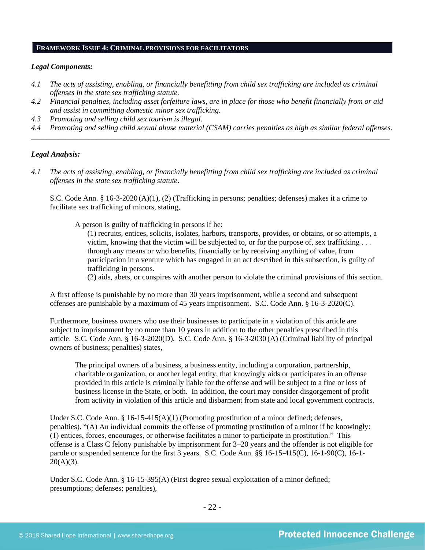#### **FRAMEWORK ISSUE 4: CRIMINAL PROVISIONS FOR FACILITATORS**

#### *Legal Components:*

- *4.1 The acts of assisting, enabling, or financially benefitting from child sex trafficking are included as criminal offenses in the state sex trafficking statute.*
- *4.2 Financial penalties, including asset forfeiture laws, are in place for those who benefit financially from or aid and assist in committing domestic minor sex trafficking.*
- *4.3 Promoting and selling child sex tourism is illegal.*
- *4.4 Promoting and selling child sexual abuse material (CSAM) carries penalties as high as similar federal offenses. \_\_\_\_\_\_\_\_\_\_\_\_\_\_\_\_\_\_\_\_\_\_\_\_\_\_\_\_\_\_\_\_\_\_\_\_\_\_\_\_\_\_\_\_\_\_\_\_\_\_\_\_\_\_\_\_\_\_\_\_\_\_\_\_\_\_\_\_\_\_\_\_\_\_\_\_\_\_\_\_\_\_\_\_\_\_\_\_\_\_\_\_\_\_*

#### *Legal Analysis:*

*4.1 The acts of assisting, enabling, or financially benefitting from child sex trafficking are included as criminal offenses in the state sex trafficking statute*.

S.C. Code Ann. § 16-3-2020 (A)(1), (2) (Trafficking in persons; penalties; defenses) makes it a crime to facilitate sex trafficking of minors, stating,

A person is guilty of trafficking in persons if he:

(1) recruits, entices, solicits, isolates, harbors, transports, provides, or obtains, or so attempts, a victim, knowing that the victim will be subjected to, or for the purpose of, sex trafficking . . . through any means or who benefits, financially or by receiving anything of value, from participation in a venture which has engaged in an act described in this subsection, is guilty of trafficking in persons.

(2) aids, abets, or conspires with another person to violate the criminal provisions of this section.

A first offense is punishable by no more than 30 years imprisonment, while a second and subsequent offenses are punishable by a maximum of 45 years imprisonment. S.C. Code Ann. § 16-3-2020(C).

Furthermore, business owners who use their businesses to participate in a violation of this article are subject to imprisonment by no more than 10 years in addition to the other penalties prescribed in this article. S.C. Code Ann. § 16-3-2020(D). S.C. Code Ann. § 16-3-2030 (A) (Criminal liability of principal owners of business; penalties) states,

The principal owners of a business, a business entity, including a corporation, partnership, charitable organization, or another legal entity, that knowingly aids or participates in an offense provided in this article is criminally liable for the offense and will be subject to a fine or loss of business license in the State, or both. In addition, the court may consider disgorgement of profit from activity in violation of this article and disbarment from state and local government contracts.

Under S.C. Code Ann. §  $16-15-415(A)(1)$  (Promoting prostitution of a minor defined; defenses, penalties), "(A) An individual commits the offense of promoting prostitution of a minor if he knowingly: (1) entices, forces, encourages, or otherwise facilitates a minor to participate in prostitution." This offense is a Class C felony punishable by imprisonment for 3–20 years and the offender is not eligible for parole or suspended sentence for the first 3 years. S.C. Code Ann. §§ 16-15-415(C), 16-1-90(C), 16-1-  $20(A)(3)$ .

Under S.C. Code Ann. § 16-15-395(A) (First degree sexual exploitation of a minor defined; presumptions; defenses; penalties),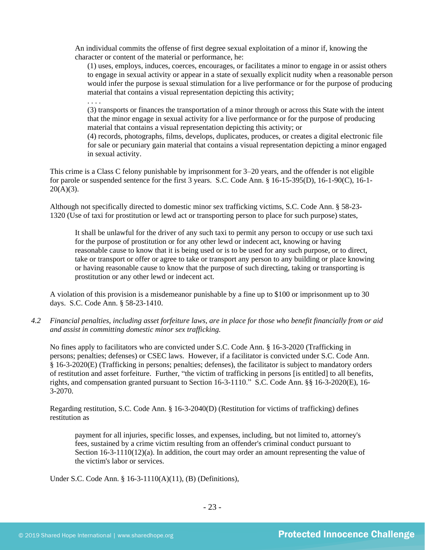An individual commits the offense of first degree sexual exploitation of a minor if, knowing the character or content of the material or performance, he:

(1) uses, employs, induces, coerces, encourages, or facilitates a minor to engage in or assist others to engage in sexual activity or appear in a state of sexually explicit nudity when a reasonable person would infer the purpose is sexual stimulation for a live performance or for the purpose of producing material that contains a visual representation depicting this activity;

. . . .

(3) transports or finances the transportation of a minor through or across this State with the intent that the minor engage in sexual activity for a live performance or for the purpose of producing material that contains a visual representation depicting this activity; or

(4) records, photographs, films, develops, duplicates, produces, or creates a digital electronic file for sale or pecuniary gain material that contains a visual representation depicting a minor engaged in sexual activity.

This crime is a Class C felony punishable by imprisonment for 3–20 years, and the offender is not eligible for parole or suspended sentence for the first 3 years. S.C. Code Ann. § 16-15-395(D), 16-1-90(C), 16-1-  $20(A)(3)$ .

Although not specifically directed to domestic minor sex trafficking victims, S.C. Code Ann. § 58-23- 1320 (Use of taxi for prostitution or lewd act or transporting person to place for such purpose) states,

It shall be unlawful for the driver of any such taxi to permit any person to occupy or use such taxi for the purpose of prostitution or for any other lewd or indecent act, knowing or having reasonable cause to know that it is being used or is to be used for any such purpose, or to direct, take or transport or offer or agree to take or transport any person to any building or place knowing or having reasonable cause to know that the purpose of such directing, taking or transporting is prostitution or any other lewd or indecent act.

A violation of this provision is a misdemeanor punishable by a fine up to \$100 or imprisonment up to 30 days. S.C. Code Ann. § 58-23-1410.

*4.2 Financial penalties, including asset forfeiture laws, are in place for those who benefit financially from or aid and assist in committing domestic minor sex trafficking.*

No fines apply to facilitators who are convicted under S.C. Code Ann. § 16-3-2020 (Trafficking in persons; penalties; defenses) or CSEC laws. However, if a facilitator is convicted under S.C. Code Ann. § 16-3-2020(E) (Trafficking in persons; penalties; defenses), the facilitator is subject to mandatory orders of restitution and asset forfeiture. Further, "the victim of trafficking in persons [is entitled] to all benefits, rights, and compensation granted pursuant to Section 16-3-1110." S.C. Code Ann. §§ 16-3-2020(E), 16- 3-2070.

Regarding restitution, S.C. Code Ann. § 16-3-2040(D) (Restitution for victims of trafficking) defines restitution as

payment for all injuries, specific losses, and expenses, including, but not limited to, attorney's fees, sustained by a crime victim resulting from an offender's criminal conduct pursuant to Section 16-3-1110(12)(a). In addition, the court may order an amount representing the value of the victim's labor or services.

Under S.C. Code Ann. § 16-3-1110(A)(11), (B) (Definitions),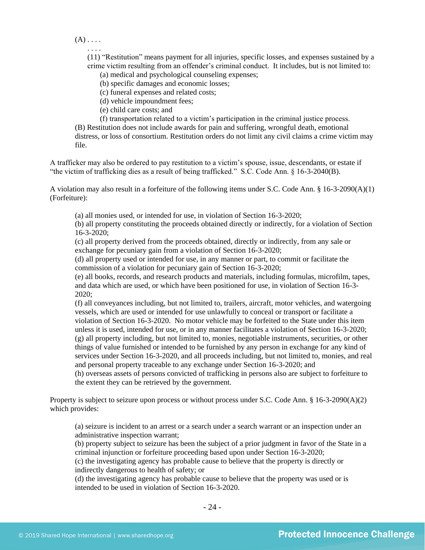$(A)$  . . . .

. . . .

(11) "Restitution" means payment for all injuries, specific losses, and expenses sustained by a crime victim resulting from an offender's criminal conduct. It includes, but is not limited to:

(a) medical and psychological counseling expenses;

(b) specific damages and economic losses;

(c) funeral expenses and related costs;

(d) vehicle impoundment fees;

(e) child care costs; and

(f) transportation related to a victim's participation in the criminal justice process. (B) Restitution does not include awards for pain and suffering, wrongful death, emotional distress, or loss of consortium. Restitution orders do not limit any civil claims a crime victim may file.

A trafficker may also be ordered to pay restitution to a victim's spouse, issue, descendants, or estate if "the victim of trafficking dies as a result of being trafficked." S.C. Code Ann. § 16-3-2040(B).

A violation may also result in a forfeiture of the following items under S.C. Code Ann. § 16-3-2090(A)(1) (Forfeiture):

(a) all monies used, or intended for use, in violation of Section 16-3-2020;

(b) all property constituting the proceeds obtained directly or indirectly, for a violation of Section 16-3-2020;

(c) all property derived from the proceeds obtained, directly or indirectly, from any sale or exchange for pecuniary gain from a violation of Section 16-3-2020;

(d) all property used or intended for use, in any manner or part, to commit or facilitate the commission of a violation for pecuniary gain of Section 16-3-2020;

(e) all books, records, and research products and materials, including formulas, microfilm, tapes, and data which are used, or which have been positioned for use, in violation of Section 16-3- 2020;

(f) all conveyances including, but not limited to, trailers, aircraft, motor vehicles, and watergoing vessels, which are used or intended for use unlawfully to conceal or transport or facilitate a violation of Section 16-3-2020. No motor vehicle may be forfeited to the State under this item unless it is used, intended for use, or in any manner facilitates a violation of Section 16-3-2020; (g) all property including, but not limited to, monies, negotiable instruments, securities, or other things of value furnished or intended to be furnished by any person in exchange for any kind of services under Section 16-3-2020, and all proceeds including, but not limited to, monies, and real and personal property traceable to any exchange under Section 16-3-2020; and

(h) overseas assets of persons convicted of trafficking in persons also are subject to forfeiture to the extent they can be retrieved by the government.

Property is subject to seizure upon process or without process under S.C. Code Ann. § 16-3-2090(A)(2) which provides:

(a) seizure is incident to an arrest or a search under a search warrant or an inspection under an administrative inspection warrant;

(b) property subject to seizure has been the subject of a prior judgment in favor of the State in a criminal injunction or forfeiture proceeding based upon under Section 16-3-2020;

(c) the investigating agency has probable cause to believe that the property is directly or indirectly dangerous to health of safety; or

(d) the investigating agency has probable cause to believe that the property was used or is intended to be used in violation of Section 16-3-2020.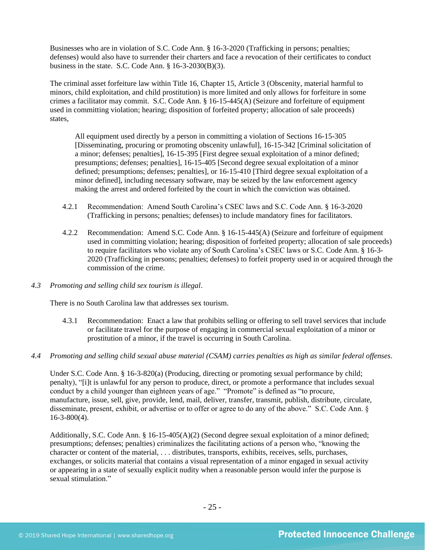Businesses who are in violation of S.C. Code Ann. § 16-3-2020 (Trafficking in persons; penalties; defenses) would also have to surrender their charters and face a revocation of their certificates to conduct business in the state. S.C. Code Ann.  $\S$  16-3-2030(B)(3).

The criminal asset forfeiture law within Title 16, Chapter 15, Article 3 (Obscenity, material harmful to minors, child exploitation, and child prostitution) is more limited and only allows for forfeiture in some crimes a facilitator may commit. S.C. Code Ann. § 16-15-445(A) (Seizure and forfeiture of equipment used in committing violation; hearing; disposition of forfeited property; allocation of sale proceeds) states,

All equipment used directly by a person in committing a violation of Sections 16-15-305 [Disseminating, procuring or promoting obscenity unlawful], 16-15-342 [Criminal solicitation of a minor; defenses; penalties], 16-15-395 [First degree sexual exploitation of a minor defined; presumptions; defenses; penalties], 16-15-405 [Second degree sexual exploitation of a minor defined; presumptions; defenses; penalties], or 16-15-410 [Third degree sexual exploitation of a minor defined], including necessary software, may be seized by the law enforcement agency making the arrest and ordered forfeited by the court in which the conviction was obtained.

- 4.2.1 Recommendation: Amend South Carolina's CSEC laws and S.C. Code Ann. § 16-3-2020 (Trafficking in persons; penalties; defenses) to include mandatory fines for facilitators.
- 4.2.2 Recommendation: Amend S.C. Code Ann. § 16-15-445(A) (Seizure and forfeiture of equipment used in committing violation; hearing; disposition of forfeited property; allocation of sale proceeds) to require facilitators who violate any of South Carolina's CSEC laws or S.C. Code Ann. § 16-3- 2020 (Trafficking in persons; penalties; defenses) to forfeit property used in or acquired through the commission of the crime.
- *4.3 Promoting and selling child sex tourism is illegal*.

There is no South Carolina law that addresses sex tourism.

- 4.3.1 Recommendation: Enact a law that prohibits selling or offering to sell travel services that include or facilitate travel for the purpose of engaging in commercial sexual exploitation of a minor or prostitution of a minor, if the travel is occurring in South Carolina.
- *4.4 Promoting and selling child sexual abuse material (CSAM) carries penalties as high as similar federal offenses*.

Under S.C. Code Ann. § 16-3-820(a) (Producing, directing or promoting sexual performance by child; penalty), "[i]t is unlawful for any person to produce, direct, or promote a performance that includes sexual conduct by a child younger than eighteen years of age." "Promote" is defined as "to procure, manufacture, issue, sell, give, provide, lend, mail, deliver, transfer, transmit, publish, distribute, circulate, disseminate, present, exhibit, or advertise or to offer or agree to do any of the above." S.C. Code Ann. § 16-3-800(4).

Additionally, S.C. Code Ann. § 16-15-405(A)(2) (Second degree sexual exploitation of a minor defined; presumptions; defenses; penalties) criminalizes the facilitating actions of a person who, "knowing the character or content of the material, . . . distributes, transports, exhibits, receives, sells, purchases, exchanges, or solicits material that contains a visual representation of a minor engaged in sexual activity or appearing in a state of sexually explicit nudity when a reasonable person would infer the purpose is sexual stimulation."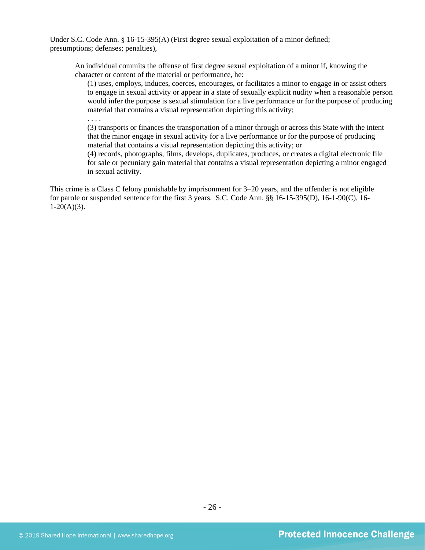Under S.C. Code Ann. § 16-15-395(A) (First degree sexual exploitation of a minor defined; presumptions; defenses; penalties),

An individual commits the offense of first degree sexual exploitation of a minor if, knowing the character or content of the material or performance, he:

(1) uses, employs, induces, coerces, encourages, or facilitates a minor to engage in or assist others to engage in sexual activity or appear in a state of sexually explicit nudity when a reasonable person would infer the purpose is sexual stimulation for a live performance or for the purpose of producing material that contains a visual representation depicting this activity;

. . . .

(3) transports or finances the transportation of a minor through or across this State with the intent that the minor engage in sexual activity for a live performance or for the purpose of producing material that contains a visual representation depicting this activity; or

(4) records, photographs, films, develops, duplicates, produces, or creates a digital electronic file for sale or pecuniary gain material that contains a visual representation depicting a minor engaged in sexual activity.

This crime is a Class C felony punishable by imprisonment for 3–20 years, and the offender is not eligible for parole or suspended sentence for the first 3 years. S.C. Code Ann. §§ 16-15-395(D), 16-1-90(C), 16-  $1-20(A)(3)$ .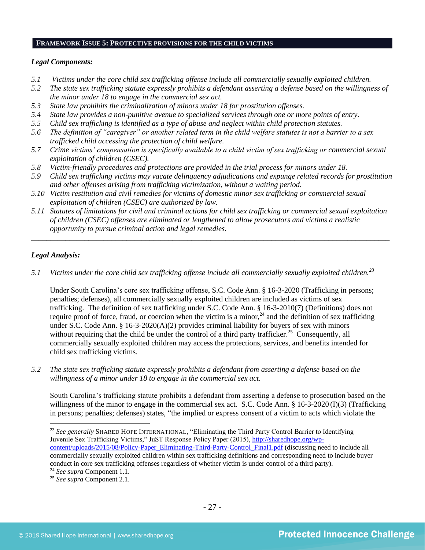#### **FRAMEWORK ISSUE 5: PROTECTIVE PROVISIONS FOR THE CHILD VICTIMS**

#### *Legal Components:*

- *5.1 Victims under the core child sex trafficking offense include all commercially sexually exploited children.*
- *5.2 The state sex trafficking statute expressly prohibits a defendant asserting a defense based on the willingness of the minor under 18 to engage in the commercial sex act.*
- *5.3 State law prohibits the criminalization of minors under 18 for prostitution offenses.*
- *5.4 State law provides a non-punitive avenue to specialized services through one or more points of entry.*
- *5.5 Child sex trafficking is identified as a type of abuse and neglect within child protection statutes.*
- *5.6 The definition of "caregiver" or another related term in the child welfare statutes is not a barrier to a sex trafficked child accessing the protection of child welfare.*
- *5.7 Crime victims' compensation is specifically available to a child victim of sex trafficking or commercial sexual exploitation of children (CSEC).*
- *5.8 Victim-friendly procedures and protections are provided in the trial process for minors under 18.*
- *5.9 Child sex trafficking victims may vacate delinquency adjudications and expunge related records for prostitution and other offenses arising from trafficking victimization, without a waiting period.*
- *5.10 Victim restitution and civil remedies for victims of domestic minor sex trafficking or commercial sexual exploitation of children (CSEC) are authorized by law.*
- *5.11 Statutes of limitations for civil and criminal actions for child sex trafficking or commercial sexual exploitation of children (CSEC) offenses are eliminated or lengthened to allow prosecutors and victims a realistic opportunity to pursue criminal action and legal remedies.*

*\_\_\_\_\_\_\_\_\_\_\_\_\_\_\_\_\_\_\_\_\_\_\_\_\_\_\_\_\_\_\_\_\_\_\_\_\_\_\_\_\_\_\_\_\_\_\_\_\_\_\_\_\_\_\_\_\_\_\_\_\_\_\_\_\_\_\_\_\_\_\_\_\_\_\_\_\_\_\_\_\_\_\_\_\_\_\_\_\_\_\_\_\_\_*

## *Legal Analysis:*

*5.1 Victims under the core child sex trafficking offense include all commercially sexually exploited children.<sup>23</sup>*

Under South Carolina's core sex trafficking offense, S.C. Code Ann. § 16-3-2020 (Trafficking in persons; penalties; defenses), all commercially sexually exploited children are included as victims of sex trafficking. The definition of sex trafficking under S.C. Code Ann. § 16-3-2010(7) (Definitions) does not require proof of force, fraud, or coercion when the victim is a minor,  $24$  and the definition of sex trafficking under S.C. Code Ann. § 16-3-2020(A)(2) provides criminal liability for buyers of sex with minors without requiring that the child be under the control of a third party trafficker.<sup>25</sup> Consequently, all commercially sexually exploited children may access the protections, services, and benefits intended for child sex trafficking victims.

*5.2 The state sex trafficking statute expressly prohibits a defendant from asserting a defense based on the willingness of a minor under 18 to engage in the commercial sex act.*

South Carolina's trafficking statute prohibits a defendant from asserting a defense to prosecution based on the willingness of the minor to engage in the commercial sex act. S.C. Code Ann. § 16-3-2020 (I)(3) (Trafficking in persons; penalties; defenses) states, "the implied or express consent of a victim to acts which violate the

<sup>23</sup> See generally SHARED HOPE INTERNATIONAL, "Eliminating the Third Party Control Barrier to Identifying Juvenile Sex Trafficking Victims," JuST Response Policy Paper (2015), [http://sharedhope.org/wp](http://sharedhope.org/wp-content/uploads/2015/08/Policy-Paper_Eliminating-Third-Party-Control_Final1.pdf)[content/uploads/2015/08/Policy-Paper\\_Eliminating-Third-Party-Control\\_Final1.pdf](http://sharedhope.org/wp-content/uploads/2015/08/Policy-Paper_Eliminating-Third-Party-Control_Final1.pdf) (discussing need to include all commercially sexually exploited children within sex trafficking definitions and corresponding need to include buyer conduct in core sex trafficking offenses regardless of whether victim is under control of a third party).

<sup>24</sup> *See supra* Component 1.1.

<sup>25</sup> *See supra* Component 2.1.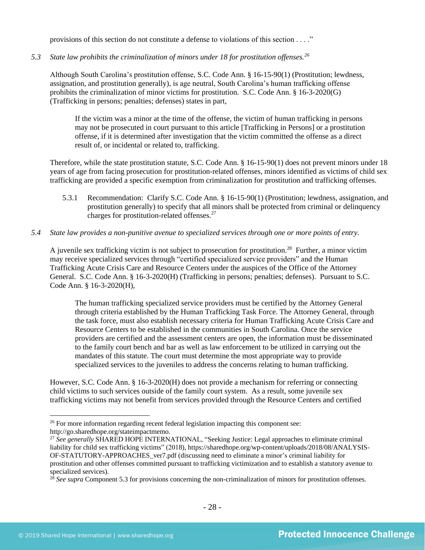provisions of this section do not constitute a defense to violations of this section . . . ."

*5.3 State law prohibits the criminalization of minors under 18 for prostitution offenses.<sup>26</sup>*

Although South Carolina's prostitution offense, S.C. Code Ann. § 16-15-90(1) (Prostitution; lewdness, assignation, and prostitution generally), is age neutral, South Carolina's human trafficking offense prohibits the criminalization of minor victims for prostitution. S.C. Code Ann. § 16-3-2020(G) (Trafficking in persons; penalties; defenses) states in part,

If the victim was a minor at the time of the offense, the victim of human trafficking in persons may not be prosecuted in court pursuant to this article [Trafficking in Persons] or a prostitution offense, if it is determined after investigation that the victim committed the offense as a direct result of, or incidental or related to, trafficking.

Therefore, while the state prostitution statute, S.C. Code Ann. § 16-15-90(1) does not prevent minors under 18 years of age from facing prosecution for prostitution-related offenses, minors identified as victims of child sex trafficking are provided a specific exemption from criminalization for prostitution and trafficking offenses.

- 5.3.1 Recommendation: Clarify S.C. Code Ann. § 16-15-90(1) (Prostitution; lewdness, assignation, and prostitution generally) to specify that all minors shall be protected from criminal or delinquency charges for prostitution-related offenses.<sup>27</sup>
- *5.4 State law provides a non-punitive avenue to specialized services through one or more points of entry.*

A juvenile sex trafficking victim is not subject to prosecution for prostitution.<sup>28</sup> Further, a minor victim may receive specialized services through "certified specialized service providers" and the Human Trafficking Acute Crisis Care and Resource Centers under the auspices of the Office of the Attorney General. S.C. Code Ann. § 16-3-2020(H) (Trafficking in persons; penalties; defenses). Pursuant to S.C. Code Ann. § 16-3-2020(H),

The human trafficking specialized service providers must be certified by the Attorney General through criteria established by the Human Trafficking Task Force. The Attorney General, through the task force, must also establish necessary criteria for Human Trafficking Acute Crisis Care and Resource Centers to be established in the communities in South Carolina. Once the service providers are certified and the assessment centers are open, the information must be disseminated to the family court bench and bar as well as law enforcement to be utilized in carrying out the mandates of this statute. The court must determine the most appropriate way to provide specialized services to the juveniles to address the concerns relating to human trafficking.

However, S.C. Code Ann. § 16-3-2020(H) does not provide a mechanism for referring or connecting child victims to such services outside of the family court system. As a result, some juvenile sex trafficking victims may not benefit from services provided through the Resource Centers and certified

<sup>&</sup>lt;sup>26</sup> For more information regarding recent federal legislation impacting this component see: http://go.sharedhope.org/stateimpactmemo.

<sup>&</sup>lt;sup>27</sup> See generally SHARED HOPE INTERNATIONAL, "Seeking Justice: Legal approaches to eliminate criminal liability for child sex trafficking victims" (2018), https://sharedhope.org/wp-content/uploads/2018/08/ANALYSIS-OF-STATUTORY-APPROACHES\_ver7.pdf (discussing need to eliminate a minor's criminal liability for prostitution and other offenses committed pursuant to trafficking victimization and to establish a statutory avenue to specialized services).

<sup>&</sup>lt;sup>28</sup> See supra Component 5.3 for provisions concerning the non-criminalization of minors for prostitution offenses.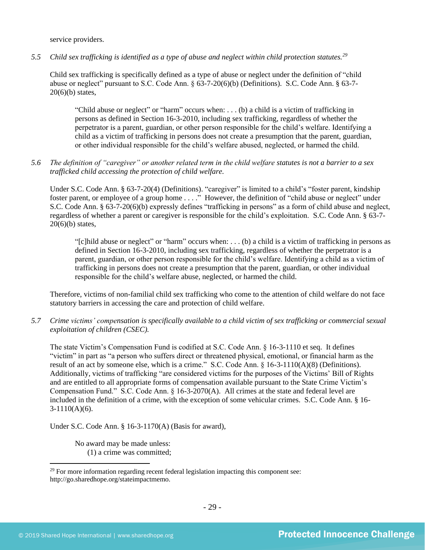service providers.

*5.5 Child sex trafficking is identified as a type of abuse and neglect within child protection statutes.<sup>29</sup>*

Child sex trafficking is specifically defined as a type of abuse or neglect under the definition of "child abuse or neglect" pursuant to S.C. Code Ann. § 63-7-20(6)(b) (Definitions). S.C. Code Ann. § 63-7-  $20(6)(b)$  states,

"Child abuse or neglect" or "harm" occurs when: . . . (b) a child is a victim of trafficking in persons as defined in Section 16-3-2010, including sex trafficking, regardless of whether the perpetrator is a parent, guardian, or other person responsible for the child's welfare. Identifying a child as a victim of trafficking in persons does not create a presumption that the parent, guardian, or other individual responsible for the child's welfare abused, neglected, or harmed the child.

*5.6 The definition of "caregiver" or another related term in the child welfare statutes is not a barrier to a sex trafficked child accessing the protection of child welfare.*

Under S.C. Code Ann. § 63-7-20(4) (Definitions). "caregiver" is limited to a child's "foster parent, kindship foster parent, or employee of a group home . . . ." However, the definition of "child abuse or neglect" under S.C. Code Ann. § 63-7-20(6)(b) expressly defines "trafficking in persons" as a form of child abuse and neglect, regardless of whether a parent or caregiver is responsible for the child's exploitation. S.C. Code Ann. § 63-7-  $20(6)(b)$  states,

"[c]hild abuse or neglect" or "harm" occurs when: . . . (b) a child is a victim of trafficking in persons as defined in Section 16-3-2010, including sex trafficking, regardless of whether the perpetrator is a parent, guardian, or other person responsible for the child's welfare. Identifying a child as a victim of trafficking in persons does not create a presumption that the parent, guardian, or other individual responsible for the child's welfare abuse, neglected, or harmed the child.

Therefore, victims of non-familial child sex trafficking who come to the attention of child welfare do not face statutory barriers in accessing the care and protection of child welfare.

*5.7 Crime victims' compensation is specifically available to a child victim of sex trafficking or commercial sexual exploitation of children (CSEC).*

The state Victim's Compensation Fund is codified at S.C. Code Ann. § 16-3-1110 et seq. It defines "victim" in part as "a person who suffers direct or threatened physical, emotional, or financial harm as the result of an act by someone else, which is a crime." S.C. Code Ann. § 16-3-1110(A)(8) (Definitions). Additionally, victims of trafficking "are considered victims for the purposes of the Victims' Bill of Rights and are entitled to all appropriate forms of compensation available pursuant to the State Crime Victim's Compensation Fund." S.C. Code Ann. § 16-3-2070(A). All crimes at the state and federal level are included in the definition of a crime, with the exception of some vehicular crimes. S.C. Code Ann. § 16-  $3-1110(A)(6)$ .

Under S.C. Code Ann. § 16-3-1170(A) (Basis for award),

No award may be made unless: (1) a crime was committed;

<sup>&</sup>lt;sup>29</sup> For more information regarding recent federal legislation impacting this component see: http://go.sharedhope.org/stateimpactmemo.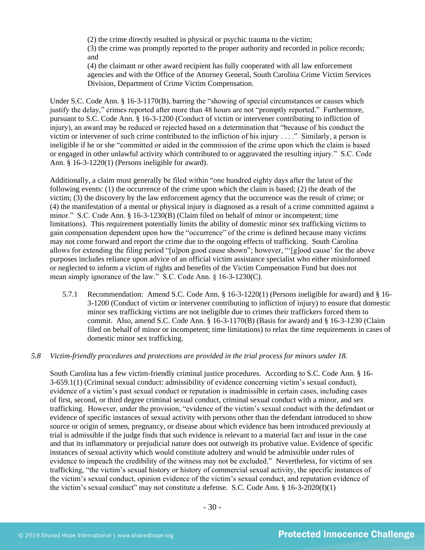(2) the crime directly resulted in physical or psychic trauma to the victim;

(3) the crime was promptly reported to the proper authority and recorded in police records; and

(4) the claimant or other award recipient has fully cooperated with all law enforcement agencies and with the Office of the Attorney General, South Carolina Crime Victim Services Division, Department of Crime Victim Compensation.

Under S.C. Code Ann. § 16-3-1170(B), barring the "showing of special circumstances or causes which justify the delay," crimes reported after more than 48 hours are not "promptly reported." Furthermore, pursuant to S.C. Code Ann. § 16-3-1200 (Conduct of victim or intervener contributing to infliction of injury), an award may be reduced or rejected based on a determination that "because of his conduct the victim or intervener of such crime contributed to the infliction of his injury . . . ." Similarly, a person is ineligible if he or she "committed or aided in the commission of the crime upon which the claim is based or engaged in other unlawful activity which contributed to or aggravated the resulting injury." S.C. Code Ann. § 16-3-1220(1) (Persons ineligible for award).

Additionally, a claim must generally be filed within "one hundred eighty days after the latest of the following events: (1) the occurrence of the crime upon which the claim is based; (2) the death of the victim; (3) the discovery by the law enforcement agency that the occurrence was the result of crime; or (4) the manifestation of a mental or physical injury is diagnosed as a result of a crime committed against a minor." S.C. Code Ann. § 16-3-1230(B) (Claim filed on behalf of minor or incompetent; time limitations). This requirement potentially limits the ability of domestic minor sex trafficking victims to gain compensation dependent upon how the "occurrence" of the crime is defined because many victims may not come forward and report the crime due to the ongoing effects of trafficking. South Carolina allows for extending the filing period "[u]pon good cause shown"; however, "'[g]ood cause' for the above purposes includes reliance upon advice of an official victim assistance specialist who either misinformed or neglected to inform a victim of rights and benefits of the Victim Compensation Fund but does not mean simply ignorance of the law." S.C. Code Ann. § 16-3-1230(C).

5.7.1 Recommendation: Amend S.C. Code Ann. § 16-3-1220(1) (Persons ineligible for award) and § 16- 3-1200 (Conduct of victim or intervener contributing to infliction of injury) to ensure that domestic minor sex trafficking victims are not ineligible due to crimes their traffickers forced them to commit. Also, amend S.C. Code Ann. § 16-3-1170(B) (Basis for award) and § 16-3-1230 (Claim filed on behalf of minor or incompetent; time limitations) to relax the time requirements in cases of domestic minor sex trafficking.

## *5.8 Victim-friendly procedures and protections are provided in the trial process for minors under 18.*

South Carolina has a few victim-friendly criminal justice procedures. According to S.C. Code Ann. § 16- 3-659.1(1) (Criminal sexual conduct: admissibility of evidence concerning victim's sexual conduct), evidence of a victim's past sexual conduct or reputation is inadmissible in certain cases, including cases of first, second, or third degree criminal sexual conduct, criminal sexual conduct with a minor, and sex trafficking. However, under the provision, "evidence of the victim's sexual conduct with the defendant or evidence of specific instances of sexual activity with persons other than the defendant introduced to show source or origin of semen, pregnancy, or disease about which evidence has been introduced previously at trial is admissible if the judge finds that such evidence is relevant to a material fact and issue in the case and that its inflammatory or prejudicial nature does not outweigh its probative value. Evidence of specific instances of sexual activity which would constitute adultery and would be admissible under rules of evidence to impeach the credibility of the witness may not be excluded." Nevertheless, for victims of sex trafficking, "the victim's sexual history or history of commercial sexual activity, the specific instances of the victim's sexual conduct, opinion evidence of the victim's sexual conduct, and reputation evidence of the victim's sexual conduct" may not constitute a defense. S.C. Code Ann.  $\S$  16-3-2020(I)(1)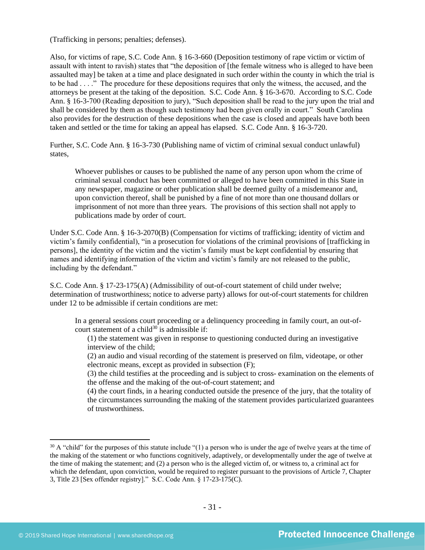(Trafficking in persons; penalties; defenses).

Also, for victims of rape, S.C. Code Ann. § 16-3-660 (Deposition testimony of rape victim or victim of assault with intent to ravish) states that "the deposition of [the female witness who is alleged to have been assaulted may] be taken at a time and place designated in such order within the county in which the trial is to be had . . . ." The procedure for these depositions requires that only the witness, the accused, and the attorneys be present at the taking of the deposition. S.C. Code Ann. § 16-3-670. According to S.C. Code Ann. § 16-3-700 (Reading deposition to jury), "Such deposition shall be read to the jury upon the trial and shall be considered by them as though such testimony had been given orally in court." South Carolina also provides for the destruction of these depositions when the case is closed and appeals have both been taken and settled or the time for taking an appeal has elapsed. S.C. Code Ann. § 16-3-720.

Further, S.C. Code Ann. § 16-3-730 (Publishing name of victim of criminal sexual conduct unlawful) states,

Whoever publishes or causes to be published the name of any person upon whom the crime of criminal sexual conduct has been committed or alleged to have been committed in this State in any newspaper, magazine or other publication shall be deemed guilty of a misdemeanor and, upon conviction thereof, shall be punished by a fine of not more than one thousand dollars or imprisonment of not more than three years. The provisions of this section shall not apply to publications made by order of court.

Under S.C. Code Ann. § 16-3-2070(B) (Compensation for victims of trafficking; identity of victim and victim's family confidential), "in a prosecution for violations of the criminal provisions of [trafficking in persons], the identity of the victim and the victim's family must be kept confidential by ensuring that names and identifying information of the victim and victim's family are not released to the public, including by the defendant."

S.C. Code Ann. § 17-23-175(A) (Admissibility of out-of-court statement of child under twelve; determination of trustworthiness; notice to adverse party) allows for out-of-court statements for children under 12 to be admissible if certain conditions are met:

In a general sessions court proceeding or a delinquency proceeding in family court, an out-ofcourt statement of a child<sup>30</sup> is admissible if:

(1) the statement was given in response to questioning conducted during an investigative interview of the child;

(2) an audio and visual recording of the statement is preserved on film, videotape, or other electronic means, except as provided in subsection (F);

(3) the child testifies at the proceeding and is subject to cross- examination on the elements of the offense and the making of the out-of-court statement; and

(4) the court finds, in a hearing conducted outside the presence of the jury, that the totality of the circumstances surrounding the making of the statement provides particularized guarantees of trustworthiness.

 $30$  A "child" for the purposes of this statute include "(1) a person who is under the age of twelve years at the time of the making of the statement or who functions cognitively, adaptively, or developmentally under the age of twelve at the time of making the statement; and (2) a person who is the alleged victim of, or witness to, a criminal act for which the defendant, upon conviction, would be required to register pursuant to the provisions of Article 7, Chapter 3, Title 23 [Sex offender registry]." S.C. Code Ann. § 17-23-175(C).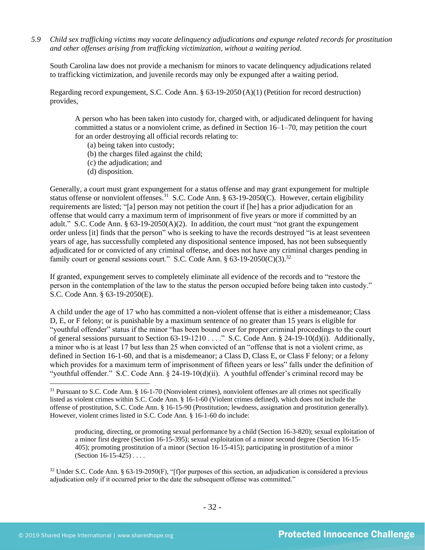*5.9 Child sex trafficking victims may vacate delinquency adjudications and expunge related records for prostitution and other offenses arising from trafficking victimization, without a waiting period.*

South Carolina law does not provide a mechanism for minors to vacate delinquency adjudications related to trafficking victimization, and juvenile records may only be expunged after a waiting period.

Regarding record expungement, S.C. Code Ann. § 63-19-2050 (A)(1) (Petition for record destruction) provides,

A person who has been taken into custody for, charged with, or adjudicated delinquent for having committed a status or a nonviolent crime, as defined in Section 16–1–70, may petition the court for an order destroying all official records relating to:

- (a) being taken into custody;
- (b) the charges filed against the child;
- (c) the adjudication; and
- (d) disposition.

Generally, a court must grant expungement for a status offense and may grant expungement for multiple status offense or nonviolent offenses.<sup>31</sup> S.C. Code Ann. § 63-19-2050(C). However, certain eligibility requirements are listed; "[a] person may not petition the court if [he] has a prior adjudication for an offense that would carry a maximum term of imprisonment of five years or more if committed by an adult." S.C. Code Ann.  $\S 63-19-2050(A)(2)$ . In addition, the court must "not grant the expungement order unless [it] finds that the person" who is seeking to have the records destroyed "is at least seventeen years of age, has successfully completed any dispositional sentence imposed, has not been subsequently adjudicated for or convicted of any criminal offense, and does not have any criminal charges pending in family court or general sessions court." S.C. Code Ann. §  $63-19-2050(C)(3)$ .<sup>32</sup>

If granted, expungement serves to completely eliminate all evidence of the records and to "restore the person in the contemplation of the law to the status the person occupied before being taken into custody." S.C. Code Ann. § 63-19-2050(E).

A child under the age of 17 who has committed a non-violent offense that is either a misdemeanor; Class D, E, or F felony; or is punishable by a maximum sentence of no greater than 15 years is eligible for "youthful offender" status if the minor "has been bound over for proper criminal proceedings to the court of general sessions pursuant to Section 63-19-1210 . . . ." S.C. Code Ann. § 24-19-10(d)(i). Additionally, a minor who is at least 17 but less than 25 when convicted of an "offense that is not a violent crime, as defined in Section 16-1-60, and that is a misdemeanor; a Class D, Class E, or Class F felony; or a felony which provides for a maximum term of imprisonment of fifteen years or less" falls under the definition of "youthful offender." S.C. Code Ann. § 24-19-10(d)(ii). A youthful offender's criminal record may be

producing, directing, or promoting sexual performance by a child (Section 16-3-820); sexual exploitation of a minor first degree (Section 16-15-395); sexual exploitation of a minor second degree (Section 16-15- 405); promoting prostitution of a minor (Section 16-15-415); participating in prostitution of a minor (Section 16-15-425) . . . .

<sup>&</sup>lt;sup>31</sup> Pursuant to S.C. Code Ann. § 16-1-70 (Nonviolent crimes), nonviolent offenses are all crimes not specifically listed as violent crimes within S.C. Code Ann. § 16-1-60 (Violent crimes defined), which does not include the offense of prostitution, S.C. Code Ann. § 16-15-90 (Prostitution; lewdness, assignation and prostitution generally). However, violent crimes listed in S.C. Code Ann. § 16-1-60 do include:

 $32$  Under S.C. Code Ann. § 63-19-2050(F), "[f]or purposes of this section, an adjudication is considered a previous adjudication only if it occurred prior to the date the subsequent offense was committed."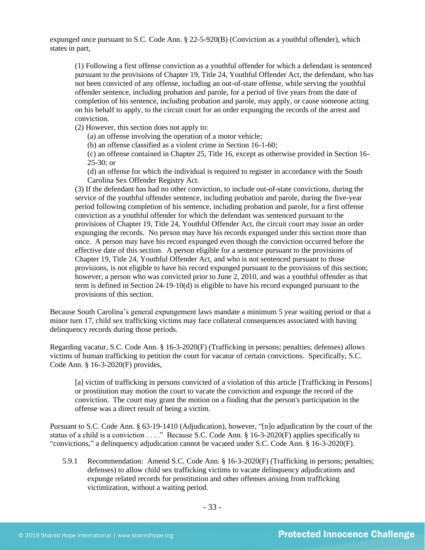expunged once pursuant to S.C. Code Ann. § 22-5-920(B) (Conviction as a youthful offender), which states in part,

(1) Following a first offense conviction as a youthful offender for which a defendant is sentenced pursuant to the provisions of Chapter 19, Title 24, Youthful Offender Act, the defendant, who has not been convicted of any offense, including an out-of-state offense, while serving the youthful offender sentence, including probation and parole, for a period of five years from the date of completion of his sentence, including probation and parole, may apply, or cause someone acting on his behalf to apply, to the circuit court for an order expunging the records of the arrest and conviction.

(2) However, this section does not apply to:

(a) an offense involving the operation of a motor vehicle;

(b) an offense classified as a violent crime in Section 16-1-60;

(c) an offense contained in Chapter 25, Title 16, except as otherwise provided in Section 16- 25-30; or

(d) an offense for which the individual is required to register in accordance with the South Carolina Sex Offender Registry Act.

(3) If the defendant has had no other conviction, to include out-of-state convictions, during the service of the youthful offender sentence, including probation and parole, during the five-year period following completion of his sentence, including probation and parole, for a first offense conviction as a youthful offender for which the defendant was sentenced pursuant to the provisions of Chapter 19, Title 24, Youthful Offender Act, the circuit court may issue an order expunging the records. No person may have his records expunged under this section more than once. A person may have his record expunged even though the conviction occurred before the effective date of this section. A person eligible for a sentence pursuant to the provisions of Chapter 19, Title 24, Youthful Offender Act, and who is not sentenced pursuant to those provisions, is not eligible to have his record expunged pursuant to the provisions of this section; however, a person who was convicted prior to June 2, 2010, and was a youthful offender as that term is defined in Section 24-19-10(d) is eligible to have his record expunged pursuant to the provisions of this section.

Because South Carolina's general expungement laws mandate a minimum 5 year waiting period or that a minor turn 17, child sex trafficking victims may face collateral consequences associated with having delinquency records during those periods.

Regarding vacatur, S.C. Code Ann. § 16-3-2020(F) (Trafficking in persons; penalties; defenses) allows victims of human trafficking to petition the court for vacatur of certain convictions. Specifically, S.C. Code Ann. § 16-3-2020(F) provides,

[a] victim of trafficking in persons convicted of a violation of this article [Trafficking in Persons] or prostitution may motion the court to vacate the conviction and expunge the record of the conviction. The court may grant the motion on a finding that the person's participation in the offense was a direct result of being a victim.

Pursuant to S.C. Code Ann. § 63-19-1410 (Adjudication), however, "[n]o adjudication by the court of the status of a child is a conviction . . . ." Because S.C. Code Ann. § 16-3-2020(F) applies specifically to "convictions," a delinquency adjudication cannot be vacated under S.C. Code Ann. § 16-3-2020(F).

5.9.1 Recommendation: Amend S.C. Code Ann. § 16-3-2020(F) (Trafficking in persons; penalties; defenses) to allow child sex trafficking victims to vacate delinquency adjudications and expunge related records for prostitution and other offenses arising from trafficking victimization, without a waiting period.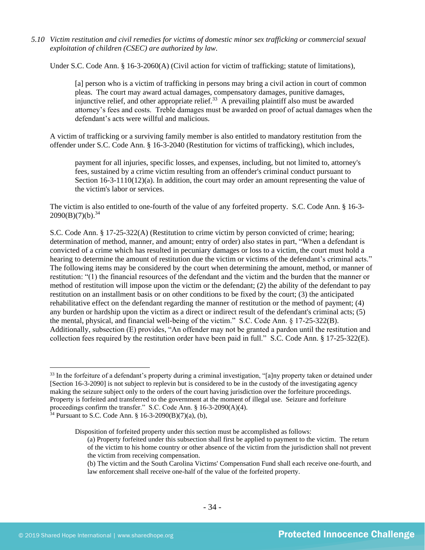*5.10 Victim restitution and civil remedies for victims of domestic minor sex trafficking or commercial sexual exploitation of children (CSEC) are authorized by law.* 

Under S.C. Code Ann. § 16-3-2060(A) (Civil action for victim of trafficking; statute of limitations),

[a] person who is a victim of trafficking in persons may bring a civil action in court of common pleas. The court may award actual damages, compensatory damages, punitive damages, injunctive relief, and other appropriate relief.<sup>33</sup> A prevailing plaintiff also must be awarded attorney's fees and costs. Treble damages must be awarded on proof of actual damages when the defendant's acts were willful and malicious.

A victim of trafficking or a surviving family member is also entitled to mandatory restitution from the offender under S.C. Code Ann. § 16-3-2040 (Restitution for victims of trafficking), which includes,

payment for all injuries, specific losses, and expenses, including, but not limited to, attorney's fees, sustained by a crime victim resulting from an offender's criminal conduct pursuant to Section 16-3-1110(12)(a). In addition, the court may order an amount representing the value of the victim's labor or services.

The victim is also entitled to one-fourth of the value of any forfeited property. S.C. Code Ann. § 16-3-  $2090(B)(7)(b).^{34}$ 

S.C. Code Ann. § 17-25-322(A) (Restitution to crime victim by person convicted of crime; hearing; determination of method, manner, and amount; entry of order) also states in part, "When a defendant is convicted of a crime which has resulted in pecuniary damages or loss to a victim, the court must hold a hearing to determine the amount of restitution due the victim or victims of the defendant's criminal acts." The following items may be considered by the court when determining the amount, method, or manner of restitution: "(1) the financial resources of the defendant and the victim and the burden that the manner or method of restitution will impose upon the victim or the defendant; (2) the ability of the defendant to pay restitution on an installment basis or on other conditions to be fixed by the court; (3) the anticipated rehabilitative effect on the defendant regarding the manner of restitution or the method of payment; (4) any burden or hardship upon the victim as a direct or indirect result of the defendant's criminal acts; (5) the mental, physical, and financial well-being of the victim." S.C. Code Ann. § 17-25-322(B). Additionally, subsection (E) provides, "An offender may not be granted a pardon until the restitution and collection fees required by the restitution order have been paid in full." S.C. Code Ann. § 17-25-322(E).

(a) Property forfeited under this subsection shall first be applied to payment to the victim. The return of the victim to his home country or other absence of the victim from the jurisdiction shall not prevent the victim from receiving compensation.

<sup>&</sup>lt;sup>33</sup> In the forfeiture of a defendant's property during a criminal investigation, "[a]ny property taken or detained under [Section 16-3-2090] is not subject to replevin but is considered to be in the custody of the investigating agency making the seizure subject only to the orders of the court having jurisdiction over the forfeiture proceedings. Property is forfeited and transferred to the government at the moment of illegal use. Seizure and forfeiture proceedings confirm the transfer." S.C. Code Ann. § 16-3-2090(A)(4).

<sup>&</sup>lt;sup>34</sup> Pursuant to S.C. Code Ann. § 16-3-2090(B)(7)(a), (b),

Disposition of forfeited property under this section must be accomplished as follows:

<sup>(</sup>b) The victim and the South Carolina Victims' Compensation Fund shall each receive one-fourth, and law enforcement shall receive one-half of the value of the forfeited property.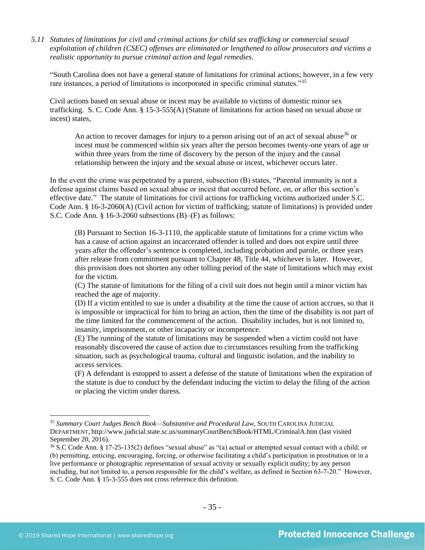*5.11 Statutes of limitations for civil and criminal actions for child sex trafficking or commercial sexual exploitation of children (CSEC) offenses are eliminated or lengthened to allow prosecutors and victims a realistic opportunity to pursue criminal action and legal remedies.* 

"South Carolina does not have a general statute of limitations for criminal actions; however, in a few very rare instances, a period of limitations is incorporated in specific criminal statutes."<sup>35</sup>

Civil actions based on sexual abuse or incest may be available to victims of domestic minor sex trafficking. S. C. Code Ann. § 15-3-555(A) (Statute of limitations for action based on sexual abuse or incest) states,

An action to recover damages for injury to a person arising out of an act of sexual abuse<sup>36</sup> or incest must be commenced within six years after the person becomes twenty-one years of age or within three years from the time of discovery by the person of the injury and the causal relationship between the injury and the sexual abuse or incest, whichever occurs later.

In the event the crime was perpetrated by a parent, subsection (B) states, "Parental immunity is not a defense against claims based on sexual abuse or incest that occurred before, on, or after this section's effective date." The statute of limitations for civil actions for trafficking victims authorized under S.C. Code Ann. § 16-3-2060(A) (Civil action for victim of trafficking; statute of limitations) is provided under S.C. Code Ann. § 16-3-2060 subsections (B)–(F) as follows:

(B) Pursuant to Section 16-3-1110, the applicable statute of limitations for a crime victim who has a cause of action against an incarcerated offender is tolled and does not expire until three years after the offender's sentence is completed, including probation and parole, or three years after release from commitment pursuant to Chapter 48, Title 44, whichever is later. However, this provision does not shorten any other tolling period of the state of limitations which may exist for the victim.

(C) The statute of limitations for the filing of a civil suit does not begin until a minor victim has reached the age of majority.

(D) If a victim entitled to sue is under a disability at the time the cause of action accrues, so that it is impossible or impractical for him to bring an action, then the time of the disability is not part of the time limited for the commencement of the action. Disability includes, but is not limited to, insanity, imprisonment, or other incapacity or incompetence.

(E) The running of the statute of limitations may be suspended when a victim could not have reasonably discovered the cause of action due to circumstances resulting from the trafficking situation, such as psychological trauma, cultural and linguistic isolation, and the inability to access services.

(F) A defendant is estopped to assert a defense of the statute of limitations when the expiration of the statute is due to conduct by the defendant inducing the victim to delay the filing of the action or placing the victim under duress.

<sup>35</sup> *Summary Court Judges Bench Book—Substantive and Procedural Law*, SOUTH CAROLINA JUDICIAL DEPARTMENT, http://www.judicial.state.sc.us/summaryCourtBenchBook/HTML/CriminalA.htm (last visited September 20, 2016).

<sup>36</sup> S.C Code Ann. § 17-25-135(2) defines "sexual abuse" as "(a) actual or attempted sexual contact with a child; or (b) permitting, enticing, encouraging, forcing, or otherwise facilitating a child's participation in prostitution or in a live performance or photographic representation of sexual activity or sexually explicit nudity; by any person including, but not limited to, a person responsible for the child's welfare, as defined in Section 63-7-20." However, S. C. Code Ann. § 15-3-555 does not cross reference this definition.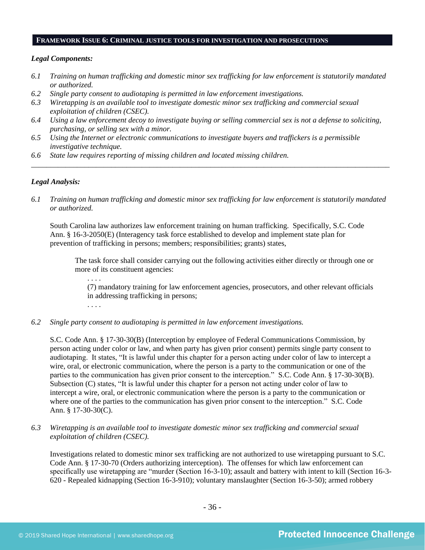#### **FRAMEWORK ISSUE 6: CRIMINAL JUSTICE TOOLS FOR INVESTIGATION AND PROSECUTIONS**

## *Legal Components:*

- *6.1 Training on human trafficking and domestic minor sex trafficking for law enforcement is statutorily mandated or authorized.*
- *6.2 Single party consent to audiotaping is permitted in law enforcement investigations.*
- *6.3 Wiretapping is an available tool to investigate domestic minor sex trafficking and commercial sexual exploitation of children (CSEC).*
- *6.4 Using a law enforcement decoy to investigate buying or selling commercial sex is not a defense to soliciting, purchasing, or selling sex with a minor.*
- *6.5 Using the Internet or electronic communications to investigate buyers and traffickers is a permissible investigative technique.*
- *6.6 State law requires reporting of missing children and located missing children.*

## *Legal Analysis:*

*6.1 Training on human trafficking and domestic minor sex trafficking for law enforcement is statutorily mandated or authorized.*

*\_\_\_\_\_\_\_\_\_\_\_\_\_\_\_\_\_\_\_\_\_\_\_\_\_\_\_\_\_\_\_\_\_\_\_\_\_\_\_\_\_\_\_\_\_\_\_\_\_\_\_\_\_\_\_\_\_\_\_\_\_\_\_\_\_\_\_\_\_\_\_\_\_\_\_\_\_\_\_\_\_\_\_\_\_\_\_\_\_\_\_\_\_\_*

South Carolina law authorizes law enforcement training on human trafficking. Specifically, S.C. Code Ann. § 16-3-2050(E) (Interagency task force established to develop and implement state plan for prevention of trafficking in persons; members; responsibilities; grants) states,

The task force shall consider carrying out the following activities either directly or through one or more of its constituent agencies:

. . . . (7) mandatory training for law enforcement agencies, prosecutors, and other relevant officials in addressing trafficking in persons;

. . . .

*6.2 Single party consent to audiotaping is permitted in law enforcement investigations.*

S.C. Code Ann. § 17-30-30(B) (Interception by employee of Federal Communications Commission, by person acting under color or law, and when party has given prior consent) permits single party consent to audiotaping. It states, "It is lawful under this chapter for a person acting under color of law to intercept a wire, oral, or electronic communication, where the person is a party to the communication or one of the parties to the communication has given prior consent to the interception." S.C. Code Ann. § 17-30-30(B). Subsection (C) states, "It is lawful under this chapter for a person not acting under color of law to intercept a wire, oral, or electronic communication where the person is a party to the communication or where one of the parties to the communication has given prior consent to the interception." S.C. Code Ann. § 17-30-30(C).

*6.3 Wiretapping is an available tool to investigate domestic minor sex trafficking and commercial sexual exploitation of children (CSEC).* 

Investigations related to domestic minor sex trafficking are not authorized to use wiretapping pursuant to S.C. Code Ann. § 17-30-70 (Orders authorizing interception). The offenses for which law enforcement can specifically use wiretapping are "murder (Section 16-3-10); assault and battery with intent to kill (Section 16-3- 620 - Repealed kidnapping (Section 16-3-910); voluntary manslaughter (Section 16-3-50); armed robbery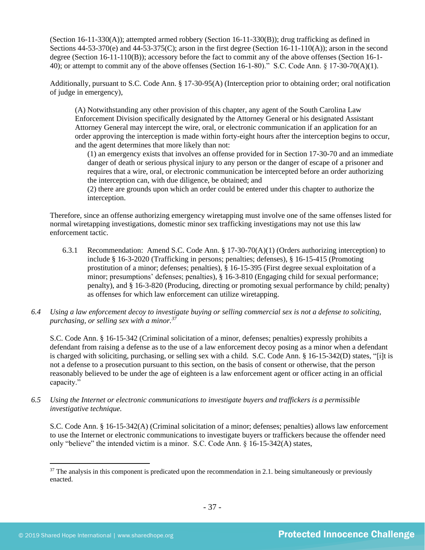(Section 16-11-330(A)); attempted armed robbery (Section 16-11-330(B)); drug trafficking as defined in Sections  $44-53-370(e)$  and  $44-53-375(C)$ ; arson in the first degree (Section 16-11-110(A)); arson in the second degree (Section 16-11-110(B)); accessory before the fact to commit any of the above offenses (Section 16-1- 40); or attempt to commit any of the above offenses (Section 16-1-80)." S.C. Code Ann. § 17-30-70(A)(1).

Additionally, pursuant to S.C. Code Ann. § 17-30-95(A) (Interception prior to obtaining order; oral notification of judge in emergency),

(A) Notwithstanding any other provision of this chapter, any agent of the South Carolina Law Enforcement Division specifically designated by the Attorney General or his designated Assistant Attorney General may intercept the wire, oral, or electronic communication if an application for an order approving the interception is made within forty-eight hours after the interception begins to occur, and the agent determines that more likely than not:

(1) an emergency exists that involves an offense provided for in Section 17-30-70 and an immediate danger of death or serious physical injury to any person or the danger of escape of a prisoner and requires that a wire, oral, or electronic communication be intercepted before an order authorizing the interception can, with due diligence, be obtained; and

(2) there are grounds upon which an order could be entered under this chapter to authorize the interception.

Therefore, since an offense authorizing emergency wiretapping must involve one of the same offenses listed for normal wiretapping investigations, domestic minor sex trafficking investigations may not use this law enforcement tactic.

- 6.3.1 Recommendation: Amend S.C. Code Ann. § 17-30-70(A)(1) (Orders authorizing interception) to include § 16-3-2020 (Trafficking in persons; penalties; defenses), § 16-15-415 (Promoting prostitution of a minor; defenses; penalties), § 16-15-395 (First degree sexual exploitation of a minor; presumptions' defenses; penalties), § 16-3-810 (Engaging child for sexual performance; penalty), and § 16-3-820 (Producing, directing or promoting sexual performance by child; penalty) as offenses for which law enforcement can utilize wiretapping.
- *6.4 Using a law enforcement decoy to investigate buying or selling commercial sex is not a defense to soliciting, purchasing, or selling sex with a minor.<sup>37</sup>*

S.C. Code Ann. § 16-15-342 (Criminal solicitation of a minor, defenses; penalties) expressly prohibits a defendant from raising a defense as to the use of a law enforcement decoy posing as a minor when a defendant is charged with soliciting, purchasing, or selling sex with a child. S.C. Code Ann. § 16-15-342(D) states, "[i]t is not a defense to a prosecution pursuant to this section, on the basis of consent or otherwise, that the person reasonably believed to be under the age of eighteen is a law enforcement agent or officer acting in an official capacity."

*6.5 Using the Internet or electronic communications to investigate buyers and traffickers is a permissible investigative technique.*

S.C. Code Ann. § 16-15-342(A) (Criminal solicitation of a minor; defenses; penalties) allows law enforcement to use the Internet or electronic communications to investigate buyers or traffickers because the offender need only "believe" the intended victim is a minor. S.C. Code Ann. § 16-15-342(A) states,

 $37$  The analysis in this component is predicated upon the recommendation in 2.1. being simultaneously or previously enacted.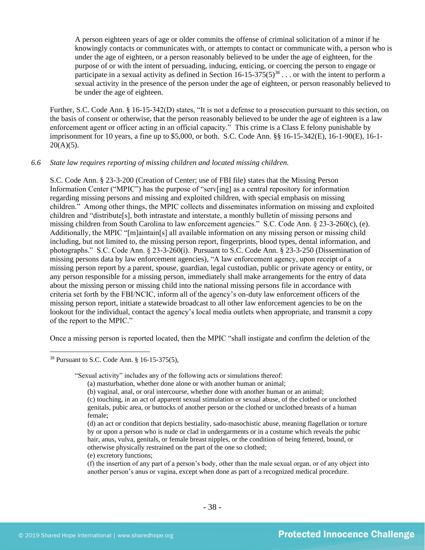A person eighteen years of age or older commits the offense of criminal solicitation of a minor if he knowingly contacts or communicates with, or attempts to contact or communicate with, a person who is under the age of eighteen, or a person reasonably believed to be under the age of eighteen, for the purpose of or with the intent of persuading, inducing, enticing, or coercing the person to engage or participate in a sexual activity as defined in Section  $16-15-375(5)^{38}$ ... or with the intent to perform a sexual activity in the presence of the person under the age of eighteen, or person reasonably believed to be under the age of eighteen.

Further, S.C. Code Ann. § 16-15-342(D) states, "It is not a defense to a prosecution pursuant to this section, on the basis of consent or otherwise, that the person reasonably believed to be under the age of eighteen is a law enforcement agent or officer acting in an official capacity." This crime is a Class E felony punishable by imprisonment for 10 years, a fine up to \$5,000, or both. S.C. Code Ann. §§ 16-15-342(E), 16-1-90(E), 16-1-  $20(A)(5)$ .

#### *6.6 State law requires reporting of missing children and located missing children.*

S.C. Code Ann. § 23-3-200 (Creation of Center; use of FBI file) states that the Missing Person Information Center ("MPIC") has the purpose of "serv[ing] as a central repository for information regarding missing persons and missing and exploited children, with special emphasis on missing children." Among other things, the MPIC collects and disseminates information on missing and exploited children and "distribute[s], both intrastate and interstate, a monthly bulletin of missing persons and missing children from South Carolina to law enforcement agencies." S.C. Code Ann. § 23-3-260(c), (e). Additionally, the MPIC "[m]aintain[s] all available information on any missing person or missing child including, but not limited to, the missing person report, fingerprints, blood types, dental information, and photographs." S.C. Code Ann. § 23-3-260(i). Pursuant to S.C. Code Ann. § 23-3-250 (Dissemination of missing persons data by law enforcement agencies), "A law enforcement agency, upon receipt of a missing person report by a parent, spouse, guardian, legal custodian, public or private agency or entity, or any person responsible for a missing person, immediately shall make arrangements for the entry of data about the missing person or missing child into the national missing persons file in accordance with criteria set forth by the FBI/NCIC, inform all of the agency's on-duty law enforcement officers of the missing person report, initiate a statewide broadcast to all other law enforcement agencies to be on the lookout for the individual, contact the agency's local media outlets when appropriate, and transmit a copy of the report to the MPIC."

Once a missing person is reported located, then the MPIC "shall instigate and confirm the deletion of the

<sup>38</sup> Pursuant to S.C. Code Ann. § 16-15-375(5),

<sup>&</sup>quot;Sexual activity" includes any of the following acts or simulations thereof:

<sup>(</sup>a) masturbation, whether done alone or with another human or animal;

<sup>(</sup>b) vaginal, anal, or oral intercourse, whether done with another human or an animal;

<sup>(</sup>c) touching, in an act of apparent sexual stimulation or sexual abuse, of the clothed or unclothed genitals, pubic area, or buttocks of another person or the clothed or unclothed breasts of a human female;

<sup>(</sup>d) an act or condition that depicts bestiality, sado-masochistic abuse, meaning flagellation or torture by or upon a person who is nude or clad in undergarments or in a costume which reveals the pubic hair, anus, vulva, genitals, or female breast nipples, or the condition of being fettered, bound, or otherwise physically restrained on the part of the one so clothed;

<sup>(</sup>e) excretory functions;

<sup>(</sup>f) the insertion of any part of a person's body, other than the male sexual organ, or of any object into another person's anus or vagina, except when done as part of a recognized medical procedure.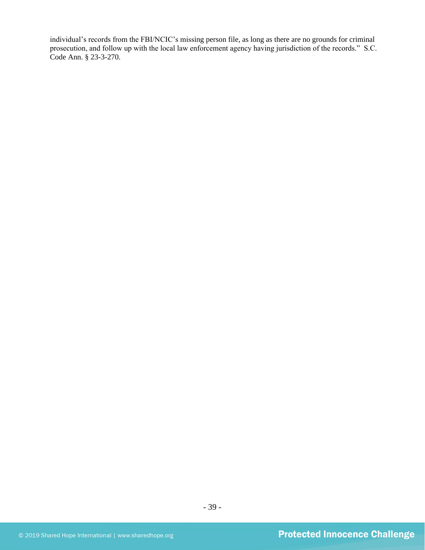individual's records from the FBI/NCIC's missing person file, as long as there are no grounds for criminal prosecution, and follow up with the local law enforcement agency having jurisdiction of the records." S.C. Code Ann. § 23-3-270.